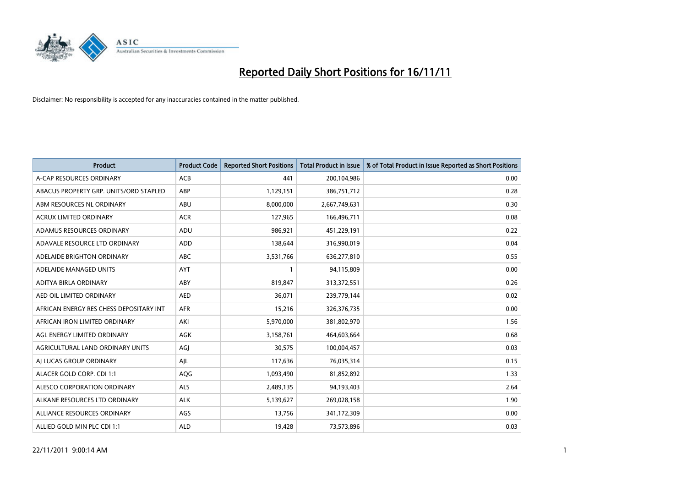

| <b>Product</b>                          | <b>Product Code</b> | <b>Reported Short Positions</b> | <b>Total Product in Issue</b> | % of Total Product in Issue Reported as Short Positions |
|-----------------------------------------|---------------------|---------------------------------|-------------------------------|---------------------------------------------------------|
| A-CAP RESOURCES ORDINARY                | <b>ACB</b>          | 441                             | 200,104,986                   | 0.00                                                    |
| ABACUS PROPERTY GRP. UNITS/ORD STAPLED  | ABP                 | 1,129,151                       | 386,751,712                   | 0.28                                                    |
| ABM RESOURCES NL ORDINARY               | <b>ABU</b>          | 8,000,000                       | 2,667,749,631                 | 0.30                                                    |
| ACRUX LIMITED ORDINARY                  | <b>ACR</b>          | 127,965                         | 166,496,711                   | 0.08                                                    |
| ADAMUS RESOURCES ORDINARY               | ADU                 | 986,921                         | 451,229,191                   | 0.22                                                    |
| ADAVALE RESOURCE LTD ORDINARY           | ADD                 | 138,644                         | 316,990,019                   | 0.04                                                    |
| ADELAIDE BRIGHTON ORDINARY              | <b>ABC</b>          | 3,531,766                       | 636,277,810                   | 0.55                                                    |
| ADELAIDE MANAGED UNITS                  | <b>AYT</b>          |                                 | 94,115,809                    | 0.00                                                    |
| ADITYA BIRLA ORDINARY                   | ABY                 | 819,847                         | 313,372,551                   | 0.26                                                    |
| AED OIL LIMITED ORDINARY                | <b>AED</b>          | 36,071                          | 239,779,144                   | 0.02                                                    |
| AFRICAN ENERGY RES CHESS DEPOSITARY INT | <b>AFR</b>          | 15,216                          | 326,376,735                   | 0.00                                                    |
| AFRICAN IRON LIMITED ORDINARY           | AKI                 | 5,970,000                       | 381,802,970                   | 1.56                                                    |
| AGL ENERGY LIMITED ORDINARY             | AGK                 | 3,158,761                       | 464,603,664                   | 0.68                                                    |
| AGRICULTURAL LAND ORDINARY UNITS        | AGJ                 | 30,575                          | 100,004,457                   | 0.03                                                    |
| AI LUCAS GROUP ORDINARY                 | AJL                 | 117,636                         | 76,035,314                    | 0.15                                                    |
| ALACER GOLD CORP. CDI 1:1               | AQG                 | 1,093,490                       | 81,852,892                    | 1.33                                                    |
| ALESCO CORPORATION ORDINARY             | <b>ALS</b>          | 2,489,135                       | 94,193,403                    | 2.64                                                    |
| ALKANE RESOURCES LTD ORDINARY           | <b>ALK</b>          | 5,139,627                       | 269,028,158                   | 1.90                                                    |
| ALLIANCE RESOURCES ORDINARY             | AGS                 | 13,756                          | 341,172,309                   | 0.00                                                    |
| ALLIED GOLD MIN PLC CDI 1:1             | <b>ALD</b>          | 19.428                          | 73,573,896                    | 0.03                                                    |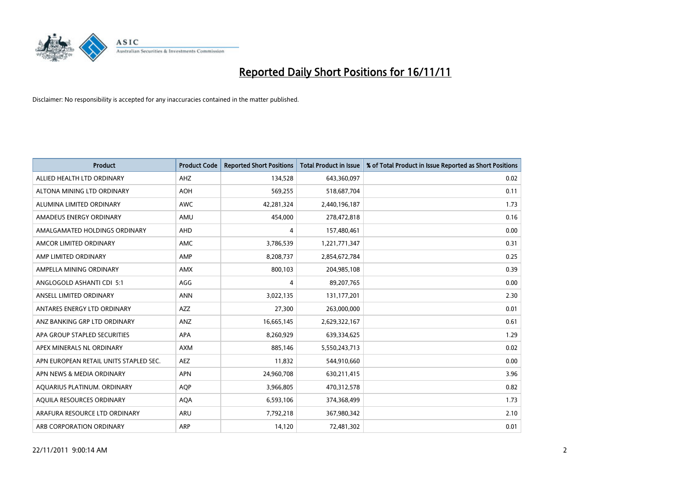

| <b>Product</b>                         | <b>Product Code</b> | <b>Reported Short Positions</b> | <b>Total Product in Issue</b> | % of Total Product in Issue Reported as Short Positions |
|----------------------------------------|---------------------|---------------------------------|-------------------------------|---------------------------------------------------------|
| ALLIED HEALTH LTD ORDINARY             | AHZ                 | 134,528                         | 643,360,097                   | 0.02                                                    |
| ALTONA MINING LTD ORDINARY             | <b>AOH</b>          | 569,255                         | 518,687,704                   | 0.11                                                    |
| ALUMINA LIMITED ORDINARY               | <b>AWC</b>          | 42,281,324                      | 2,440,196,187                 | 1.73                                                    |
| AMADEUS ENERGY ORDINARY                | AMU                 | 454,000                         | 278,472,818                   | 0.16                                                    |
| AMALGAMATED HOLDINGS ORDINARY          | AHD                 | 4                               | 157,480,461                   | 0.00                                                    |
| AMCOR LIMITED ORDINARY                 | AMC                 | 3,786,539                       | 1,221,771,347                 | 0.31                                                    |
| AMP LIMITED ORDINARY                   | AMP                 | 8,208,737                       | 2,854,672,784                 | 0.25                                                    |
| AMPELLA MINING ORDINARY                | <b>AMX</b>          | 800,103                         | 204,985,108                   | 0.39                                                    |
| ANGLOGOLD ASHANTI CDI 5:1              | AGG                 | 4                               | 89,207,765                    | 0.00                                                    |
| ANSELL LIMITED ORDINARY                | <b>ANN</b>          | 3,022,135                       | 131,177,201                   | 2.30                                                    |
| ANTARES ENERGY LTD ORDINARY            | AZZ                 | 27,300                          | 263,000,000                   | 0.01                                                    |
| ANZ BANKING GRP LTD ORDINARY           | ANZ                 | 16,665,145                      | 2,629,322,167                 | 0.61                                                    |
| APA GROUP STAPLED SECURITIES           | <b>APA</b>          | 8,260,929                       | 639,334,625                   | 1.29                                                    |
| APEX MINERALS NL ORDINARY              | <b>AXM</b>          | 885,146                         | 5,550,243,713                 | 0.02                                                    |
| APN EUROPEAN RETAIL UNITS STAPLED SEC. | <b>AEZ</b>          | 11,832                          | 544,910,660                   | 0.00                                                    |
| APN NEWS & MEDIA ORDINARY              | <b>APN</b>          | 24,960,708                      | 630,211,415                   | 3.96                                                    |
| AQUARIUS PLATINUM. ORDINARY            | <b>AOP</b>          | 3,966,805                       | 470,312,578                   | 0.82                                                    |
| AQUILA RESOURCES ORDINARY              | <b>AQA</b>          | 6,593,106                       | 374,368,499                   | 1.73                                                    |
| ARAFURA RESOURCE LTD ORDINARY          | ARU                 | 7,792,218                       | 367,980,342                   | 2.10                                                    |
| ARB CORPORATION ORDINARY               | ARP                 | 14,120                          | 72,481,302                    | 0.01                                                    |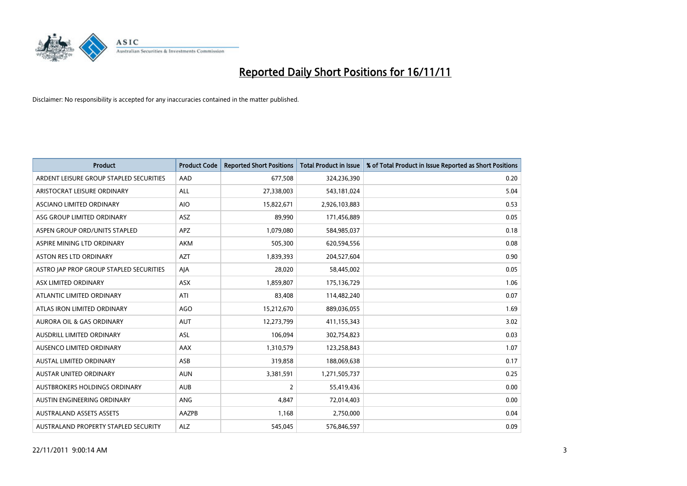

| <b>Product</b>                          | <b>Product Code</b> | <b>Reported Short Positions</b> | <b>Total Product in Issue</b> | % of Total Product in Issue Reported as Short Positions |
|-----------------------------------------|---------------------|---------------------------------|-------------------------------|---------------------------------------------------------|
| ARDENT LEISURE GROUP STAPLED SECURITIES | AAD                 | 677,508                         | 324,236,390                   | 0.20                                                    |
| ARISTOCRAT LEISURE ORDINARY             | <b>ALL</b>          | 27,338,003                      | 543,181,024                   | 5.04                                                    |
| <b>ASCIANO LIMITED ORDINARY</b>         | <b>AIO</b>          | 15,822,671                      | 2,926,103,883                 | 0.53                                                    |
| ASG GROUP LIMITED ORDINARY              | <b>ASZ</b>          | 89,990                          | 171,456,889                   | 0.05                                                    |
| ASPEN GROUP ORD/UNITS STAPLED           | <b>APZ</b>          | 1,079,080                       | 584,985,037                   | 0.18                                                    |
| ASPIRE MINING LTD ORDINARY              | <b>AKM</b>          | 505,300                         | 620,594,556                   | 0.08                                                    |
| ASTON RES LTD ORDINARY                  | <b>AZT</b>          | 1,839,393                       | 204,527,604                   | 0.90                                                    |
| ASTRO JAP PROP GROUP STAPLED SECURITIES | AIA                 | 28,020                          | 58,445,002                    | 0.05                                                    |
| ASX LIMITED ORDINARY                    | <b>ASX</b>          | 1,859,807                       | 175,136,729                   | 1.06                                                    |
| ATLANTIC LIMITED ORDINARY               | ATI                 | 83,408                          | 114,482,240                   | 0.07                                                    |
| ATLAS IRON LIMITED ORDINARY             | AGO                 | 15,212,670                      | 889,036,055                   | 1.69                                                    |
| <b>AURORA OIL &amp; GAS ORDINARY</b>    | <b>AUT</b>          | 12,273,799                      | 411,155,343                   | 3.02                                                    |
| AUSDRILL LIMITED ORDINARY               | ASL                 | 106,094                         | 302,754,823                   | 0.03                                                    |
| AUSENCO LIMITED ORDINARY                | AAX                 | 1,310,579                       | 123,258,843                   | 1.07                                                    |
| <b>AUSTAL LIMITED ORDINARY</b>          | ASB                 | 319,858                         | 188,069,638                   | 0.17                                                    |
| AUSTAR UNITED ORDINARY                  | <b>AUN</b>          | 3,381,591                       | 1,271,505,737                 | 0.25                                                    |
| AUSTBROKERS HOLDINGS ORDINARY           | <b>AUB</b>          | 2                               | 55,419,436                    | 0.00                                                    |
| AUSTIN ENGINEERING ORDINARY             | ANG                 | 4,847                           | 72,014,403                    | 0.00                                                    |
| <b>AUSTRALAND ASSETS ASSETS</b>         | AAZPB               | 1,168                           | 2,750,000                     | 0.04                                                    |
| AUSTRALAND PROPERTY STAPLED SECURITY    | <b>ALZ</b>          | 545,045                         | 576,846,597                   | 0.09                                                    |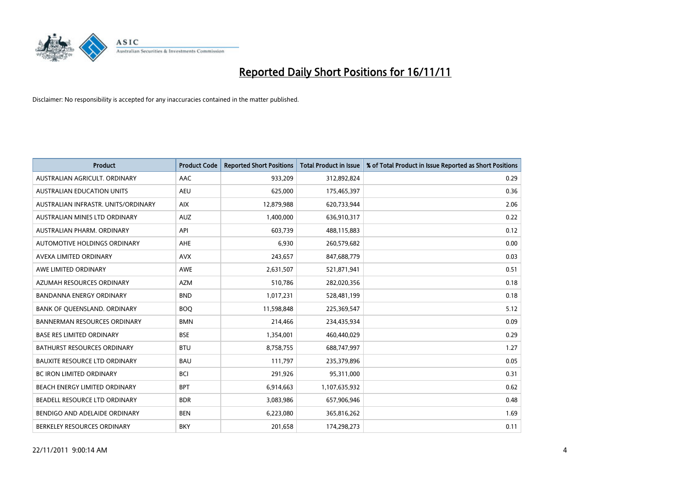

| <b>Product</b>                       | <b>Product Code</b> | <b>Reported Short Positions</b> | <b>Total Product in Issue</b> | % of Total Product in Issue Reported as Short Positions |
|--------------------------------------|---------------------|---------------------------------|-------------------------------|---------------------------------------------------------|
| AUSTRALIAN AGRICULT, ORDINARY        | <b>AAC</b>          | 933,209                         | 312,892,824                   | 0.29                                                    |
| <b>AUSTRALIAN EDUCATION UNITS</b>    | <b>AEU</b>          | 625,000                         | 175,465,397                   | 0.36                                                    |
| AUSTRALIAN INFRASTR, UNITS/ORDINARY  | <b>AIX</b>          | 12,879,988                      | 620,733,944                   | 2.06                                                    |
| AUSTRALIAN MINES LTD ORDINARY        | <b>AUZ</b>          | 1,400,000                       | 636,910,317                   | 0.22                                                    |
| AUSTRALIAN PHARM, ORDINARY           | API                 | 603,739                         | 488,115,883                   | 0.12                                                    |
| AUTOMOTIVE HOLDINGS ORDINARY         | <b>AHE</b>          | 6,930                           | 260,579,682                   | 0.00                                                    |
| AVEXA LIMITED ORDINARY               | <b>AVX</b>          | 243,657                         | 847,688,779                   | 0.03                                                    |
| AWE LIMITED ORDINARY                 | <b>AWE</b>          | 2,631,507                       | 521,871,941                   | 0.51                                                    |
| AZUMAH RESOURCES ORDINARY            | <b>AZM</b>          | 510,786                         | 282,020,356                   | 0.18                                                    |
| <b>BANDANNA ENERGY ORDINARY</b>      | <b>BND</b>          | 1,017,231                       | 528,481,199                   | 0.18                                                    |
| BANK OF QUEENSLAND. ORDINARY         | <b>BOQ</b>          | 11,598,848                      | 225,369,547                   | 5.12                                                    |
| <b>BANNERMAN RESOURCES ORDINARY</b>  | <b>BMN</b>          | 214,466                         | 234,435,934                   | 0.09                                                    |
| <b>BASE RES LIMITED ORDINARY</b>     | <b>BSE</b>          | 1,354,001                       | 460,440,029                   | 0.29                                                    |
| <b>BATHURST RESOURCES ORDINARY</b>   | <b>BTU</b>          | 8,758,755                       | 688,747,997                   | 1.27                                                    |
| <b>BAUXITE RESOURCE LTD ORDINARY</b> | <b>BAU</b>          | 111,797                         | 235,379,896                   | 0.05                                                    |
| BC IRON LIMITED ORDINARY             | <b>BCI</b>          | 291,926                         | 95,311,000                    | 0.31                                                    |
| BEACH ENERGY LIMITED ORDINARY        | <b>BPT</b>          | 6,914,663                       | 1,107,635,932                 | 0.62                                                    |
| BEADELL RESOURCE LTD ORDINARY        | <b>BDR</b>          | 3,083,986                       | 657,906,946                   | 0.48                                                    |
| BENDIGO AND ADELAIDE ORDINARY        | <b>BEN</b>          | 6,223,080                       | 365,816,262                   | 1.69                                                    |
| BERKELEY RESOURCES ORDINARY          | <b>BKY</b>          | 201,658                         | 174,298,273                   | 0.11                                                    |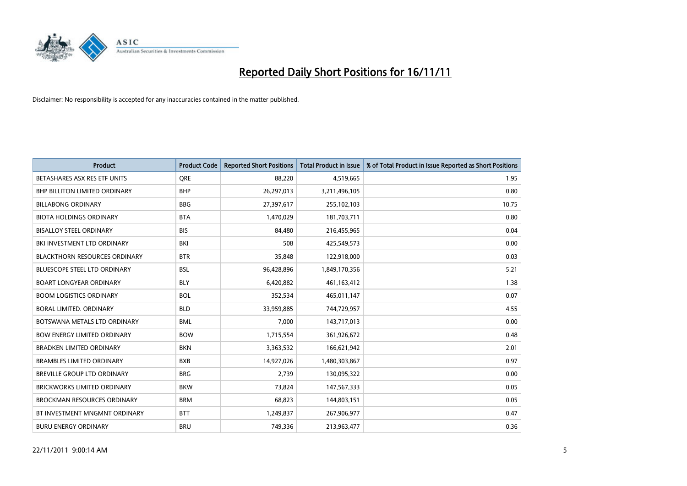

| <b>Product</b>                       | <b>Product Code</b> | <b>Reported Short Positions</b> | <b>Total Product in Issue</b> | % of Total Product in Issue Reported as Short Positions |
|--------------------------------------|---------------------|---------------------------------|-------------------------------|---------------------------------------------------------|
| BETASHARES ASX RES ETF UNITS         | <b>ORE</b>          | 88,220                          | 4,519,665                     | 1.95                                                    |
| <b>BHP BILLITON LIMITED ORDINARY</b> | <b>BHP</b>          | 26,297,013                      | 3,211,496,105                 | 0.80                                                    |
| <b>BILLABONG ORDINARY</b>            | <b>BBG</b>          | 27,397,617                      | 255,102,103                   | 10.75                                                   |
| <b>BIOTA HOLDINGS ORDINARY</b>       | <b>BTA</b>          | 1,470,029                       | 181,703,711                   | 0.80                                                    |
| <b>BISALLOY STEEL ORDINARY</b>       | <b>BIS</b>          | 84,480                          | 216,455,965                   | 0.04                                                    |
| BKI INVESTMENT LTD ORDINARY          | <b>BKI</b>          | 508                             | 425,549,573                   | 0.00                                                    |
| <b>BLACKTHORN RESOURCES ORDINARY</b> | <b>BTR</b>          | 35,848                          | 122,918,000                   | 0.03                                                    |
| BLUESCOPE STEEL LTD ORDINARY         | <b>BSL</b>          | 96,428,896                      | 1,849,170,356                 | 5.21                                                    |
| <b>BOART LONGYEAR ORDINARY</b>       | <b>BLY</b>          | 6,420,882                       | 461,163,412                   | 1.38                                                    |
| <b>BOOM LOGISTICS ORDINARY</b>       | <b>BOL</b>          | 352,534                         | 465,011,147                   | 0.07                                                    |
| BORAL LIMITED. ORDINARY              | <b>BLD</b>          | 33,959,885                      | 744,729,957                   | 4.55                                                    |
| BOTSWANA METALS LTD ORDINARY         | <b>BML</b>          | 7,000                           | 143,717,013                   | 0.00                                                    |
| <b>BOW ENERGY LIMITED ORDINARY</b>   | <b>BOW</b>          | 1,715,554                       | 361,926,672                   | 0.48                                                    |
| <b>BRADKEN LIMITED ORDINARY</b>      | <b>BKN</b>          | 3,363,532                       | 166,621,942                   | 2.01                                                    |
| <b>BRAMBLES LIMITED ORDINARY</b>     | <b>BXB</b>          | 14,927,026                      | 1,480,303,867                 | 0.97                                                    |
| BREVILLE GROUP LTD ORDINARY          | <b>BRG</b>          | 2,739                           | 130,095,322                   | 0.00                                                    |
| BRICKWORKS LIMITED ORDINARY          | <b>BKW</b>          | 73,824                          | 147,567,333                   | 0.05                                                    |
| <b>BROCKMAN RESOURCES ORDINARY</b>   | <b>BRM</b>          | 68,823                          | 144,803,151                   | 0.05                                                    |
| BT INVESTMENT MNGMNT ORDINARY        | <b>BTT</b>          | 1,249,837                       | 267,906,977                   | 0.47                                                    |
| <b>BURU ENERGY ORDINARY</b>          | <b>BRU</b>          | 749,336                         | 213,963,477                   | 0.36                                                    |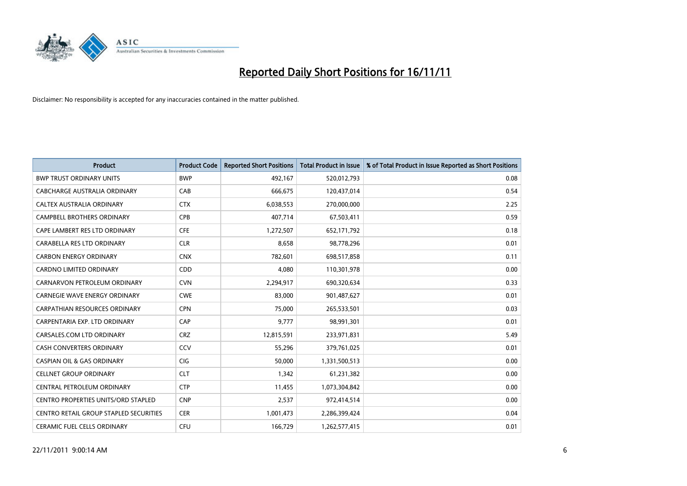

| <b>Product</b>                             | <b>Product Code</b> | <b>Reported Short Positions</b> | Total Product in Issue | % of Total Product in Issue Reported as Short Positions |
|--------------------------------------------|---------------------|---------------------------------|------------------------|---------------------------------------------------------|
| <b>BWP TRUST ORDINARY UNITS</b>            | <b>BWP</b>          | 492,167                         | 520,012,793            | 0.08                                                    |
| CABCHARGE AUSTRALIA ORDINARY               | CAB                 | 666,675                         | 120,437,014            | 0.54                                                    |
| <b>CALTEX AUSTRALIA ORDINARY</b>           | <b>CTX</b>          | 6,038,553                       | 270,000,000            | 2.25                                                    |
| CAMPBELL BROTHERS ORDINARY                 | <b>CPB</b>          | 407,714                         | 67,503,411             | 0.59                                                    |
| CAPE LAMBERT RES LTD ORDINARY              | <b>CFE</b>          | 1,272,507                       | 652,171,792            | 0.18                                                    |
| CARABELLA RES LTD ORDINARY                 | <b>CLR</b>          | 8,658                           | 98,778,296             | 0.01                                                    |
| <b>CARBON ENERGY ORDINARY</b>              | <b>CNX</b>          | 782.601                         | 698,517,858            | 0.11                                                    |
| CARDNO LIMITED ORDINARY                    | <b>CDD</b>          | 4,080                           | 110,301,978            | 0.00                                                    |
| CARNARVON PETROLEUM ORDINARY               | <b>CVN</b>          | 2,294,917                       | 690,320,634            | 0.33                                                    |
| <b>CARNEGIE WAVE ENERGY ORDINARY</b>       | <b>CWE</b>          | 83,000                          | 901,487,627            | 0.01                                                    |
| CARPATHIAN RESOURCES ORDINARY              | <b>CPN</b>          | 75.000                          | 265,533,501            | 0.03                                                    |
| CARPENTARIA EXP. LTD ORDINARY              | CAP                 | 9,777                           | 98,991,301             | 0.01                                                    |
| CARSALES.COM LTD ORDINARY                  | <b>CRZ</b>          | 12,815,591                      | 233,971,831            | 5.49                                                    |
| <b>CASH CONVERTERS ORDINARY</b>            | CCV                 | 55,296                          | 379,761,025            | 0.01                                                    |
| <b>CASPIAN OIL &amp; GAS ORDINARY</b>      | <b>CIG</b>          | 50.000                          | 1,331,500,513          | 0.00                                                    |
| <b>CELLNET GROUP ORDINARY</b>              | <b>CLT</b>          | 1,342                           | 61,231,382             | 0.00                                                    |
| CENTRAL PETROLEUM ORDINARY                 | <b>CTP</b>          | 11,455                          | 1,073,304,842          | 0.00                                                    |
| <b>CENTRO PROPERTIES UNITS/ORD STAPLED</b> | <b>CNP</b>          | 2,537                           | 972,414,514            | 0.00                                                    |
| CENTRO RETAIL GROUP STAPLED SECURITIES     | <b>CER</b>          | 1,001,473                       | 2,286,399,424          | 0.04                                                    |
| <b>CERAMIC FUEL CELLS ORDINARY</b>         | CFU                 | 166,729                         | 1,262,577,415          | 0.01                                                    |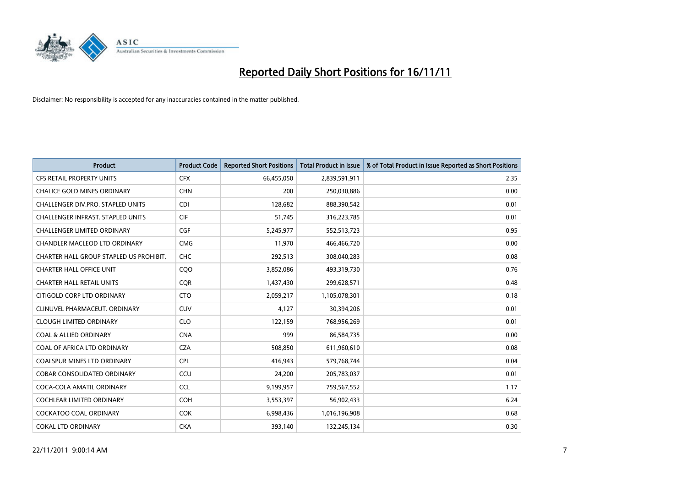

| <b>Product</b>                          | <b>Product Code</b> | <b>Reported Short Positions</b> | <b>Total Product in Issue</b> | % of Total Product in Issue Reported as Short Positions |
|-----------------------------------------|---------------------|---------------------------------|-------------------------------|---------------------------------------------------------|
| <b>CFS RETAIL PROPERTY UNITS</b>        | <b>CFX</b>          | 66,455,050                      | 2,839,591,911                 | 2.35                                                    |
| <b>CHALICE GOLD MINES ORDINARY</b>      | <b>CHN</b>          | 200                             | 250,030,886                   | 0.00                                                    |
| CHALLENGER DIV.PRO. STAPLED UNITS       | CDI                 | 128,682                         | 888,390,542                   | 0.01                                                    |
| CHALLENGER INFRAST. STAPLED UNITS       | <b>CIF</b>          | 51,745                          | 316,223,785                   | 0.01                                                    |
| <b>CHALLENGER LIMITED ORDINARY</b>      | <b>CGF</b>          | 5,245,977                       | 552,513,723                   | 0.95                                                    |
| CHANDLER MACLEOD LTD ORDINARY           | <b>CMG</b>          | 11,970                          | 466,466,720                   | 0.00                                                    |
| CHARTER HALL GROUP STAPLED US PROHIBIT. | <b>CHC</b>          | 292,513                         | 308,040,283                   | 0.08                                                    |
| <b>CHARTER HALL OFFICE UNIT</b>         | CQ <sub>O</sub>     | 3,852,086                       | 493,319,730                   | 0.76                                                    |
| <b>CHARTER HALL RETAIL UNITS</b>        | <b>CQR</b>          | 1,437,430                       | 299,628,571                   | 0.48                                                    |
| CITIGOLD CORP LTD ORDINARY              | <b>CTO</b>          | 2,059,217                       | 1,105,078,301                 | 0.18                                                    |
| CLINUVEL PHARMACEUT. ORDINARY           | CUV                 | 4,127                           | 30,394,206                    | 0.01                                                    |
| <b>CLOUGH LIMITED ORDINARY</b>          | <b>CLO</b>          | 122,159                         | 768,956,269                   | 0.01                                                    |
| <b>COAL &amp; ALLIED ORDINARY</b>       | <b>CNA</b>          | 999                             | 86,584,735                    | 0.00                                                    |
| COAL OF AFRICA LTD ORDINARY             | <b>CZA</b>          | 508.850                         | 611,960,610                   | 0.08                                                    |
| <b>COALSPUR MINES LTD ORDINARY</b>      | <b>CPL</b>          | 416,943                         | 579,768,744                   | 0.04                                                    |
| <b>COBAR CONSOLIDATED ORDINARY</b>      | CCU                 | 24,200                          | 205,783,037                   | 0.01                                                    |
| COCA-COLA AMATIL ORDINARY               | <b>CCL</b>          | 9,199,957                       | 759,567,552                   | 1.17                                                    |
| COCHLEAR LIMITED ORDINARY               | <b>COH</b>          | 3,553,397                       | 56,902,433                    | 6.24                                                    |
| <b>COCKATOO COAL ORDINARY</b>           | <b>COK</b>          | 6,998,436                       | 1,016,196,908                 | 0.68                                                    |
| <b>COKAL LTD ORDINARY</b>               | <b>CKA</b>          | 393.140                         | 132,245,134                   | 0.30                                                    |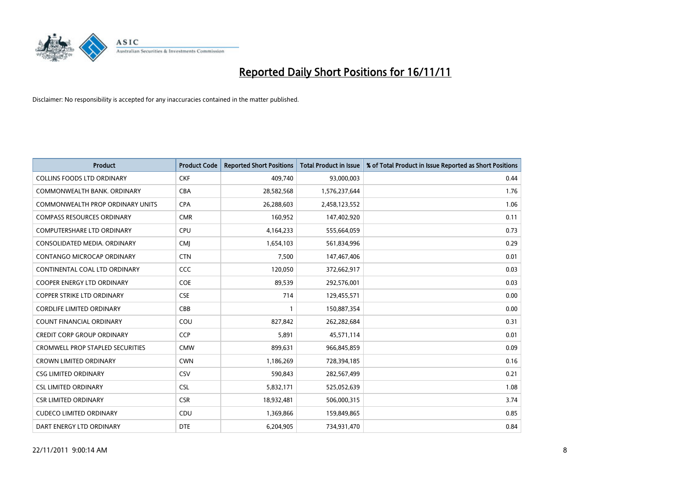

| <b>Product</b>                          | <b>Product Code</b> | <b>Reported Short Positions</b> | Total Product in Issue | % of Total Product in Issue Reported as Short Positions |
|-----------------------------------------|---------------------|---------------------------------|------------------------|---------------------------------------------------------|
| <b>COLLINS FOODS LTD ORDINARY</b>       | <b>CKF</b>          | 409,740                         | 93,000,003             | 0.44                                                    |
| COMMONWEALTH BANK, ORDINARY             | <b>CBA</b>          | 28,582,568                      | 1,576,237,644          | 1.76                                                    |
| COMMONWEALTH PROP ORDINARY UNITS        | <b>CPA</b>          | 26,288,603                      | 2,458,123,552          | 1.06                                                    |
| <b>COMPASS RESOURCES ORDINARY</b>       | <b>CMR</b>          | 160,952                         | 147,402,920            | 0.11                                                    |
| <b>COMPUTERSHARE LTD ORDINARY</b>       | <b>CPU</b>          | 4,164,233                       | 555,664,059            | 0.73                                                    |
| CONSOLIDATED MEDIA, ORDINARY            | <b>CMI</b>          | 1,654,103                       | 561,834,996            | 0.29                                                    |
| CONTANGO MICROCAP ORDINARY              | <b>CTN</b>          | 7,500                           | 147,467,406            | 0.01                                                    |
| CONTINENTAL COAL LTD ORDINARY           | CCC                 | 120,050                         | 372,662,917            | 0.03                                                    |
| <b>COOPER ENERGY LTD ORDINARY</b>       | COE                 | 89,539                          | 292,576,001            | 0.03                                                    |
| <b>COPPER STRIKE LTD ORDINARY</b>       | <b>CSE</b>          | 714                             | 129,455,571            | 0.00                                                    |
| <b>CORDLIFE LIMITED ORDINARY</b>        | CBB                 |                                 | 150,887,354            | 0.00                                                    |
| <b>COUNT FINANCIAL ORDINARY</b>         | COU                 | 827,842                         | 262,282,684            | 0.31                                                    |
| <b>CREDIT CORP GROUP ORDINARY</b>       | <b>CCP</b>          | 5,891                           | 45,571,114             | 0.01                                                    |
| <b>CROMWELL PROP STAPLED SECURITIES</b> | <b>CMW</b>          | 899,631                         | 966,845,859            | 0.09                                                    |
| <b>CROWN LIMITED ORDINARY</b>           | <b>CWN</b>          | 1,186,269                       | 728,394,185            | 0.16                                                    |
| <b>CSG LIMITED ORDINARY</b>             | CSV                 | 590,843                         | 282,567,499            | 0.21                                                    |
| <b>CSL LIMITED ORDINARY</b>             | <b>CSL</b>          | 5,832,171                       | 525,052,639            | 1.08                                                    |
| <b>CSR LIMITED ORDINARY</b>             | <b>CSR</b>          | 18,932,481                      | 506,000,315            | 3.74                                                    |
| <b>CUDECO LIMITED ORDINARY</b>          | CDU                 | 1,369,866                       | 159,849,865            | 0.85                                                    |
| DART ENERGY LTD ORDINARY                | <b>DTE</b>          | 6.204.905                       | 734,931,470            | 0.84                                                    |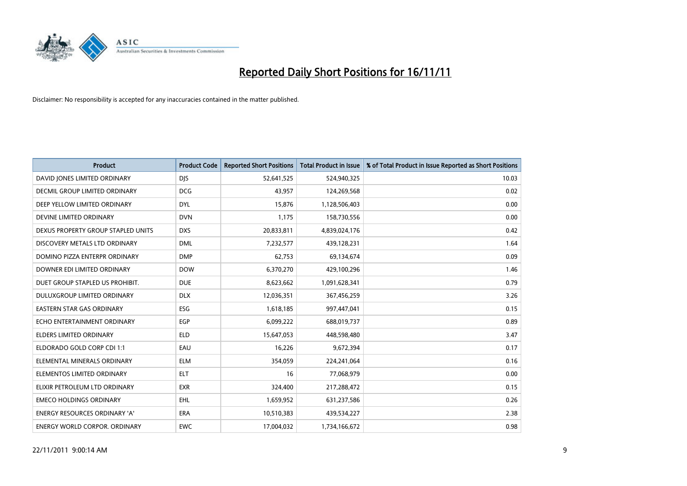

| <b>Product</b>                       | <b>Product Code</b> | <b>Reported Short Positions</b> | <b>Total Product in Issue</b> | % of Total Product in Issue Reported as Short Positions |
|--------------------------------------|---------------------|---------------------------------|-------------------------------|---------------------------------------------------------|
| DAVID JONES LIMITED ORDINARY         | <b>DJS</b>          | 52,641,525                      | 524,940,325                   | 10.03                                                   |
| DECMIL GROUP LIMITED ORDINARY        | <b>DCG</b>          | 43,957                          | 124,269,568                   | 0.02                                                    |
| DEEP YELLOW LIMITED ORDINARY         | <b>DYL</b>          | 15,876                          | 1,128,506,403                 | 0.00                                                    |
| DEVINE LIMITED ORDINARY              | <b>DVN</b>          | 1,175                           | 158,730,556                   | 0.00                                                    |
| DEXUS PROPERTY GROUP STAPLED UNITS   | <b>DXS</b>          | 20,833,811                      | 4,839,024,176                 | 0.42                                                    |
| DISCOVERY METALS LTD ORDINARY        | <b>DML</b>          | 7,232,577                       | 439,128,231                   | 1.64                                                    |
| DOMINO PIZZA ENTERPR ORDINARY        | <b>DMP</b>          | 62.753                          | 69,134,674                    | 0.09                                                    |
| DOWNER EDI LIMITED ORDINARY          | <b>DOW</b>          | 6,370,270                       | 429,100,296                   | 1.46                                                    |
| DUET GROUP STAPLED US PROHIBIT.      | <b>DUE</b>          | 8,623,662                       | 1,091,628,341                 | 0.79                                                    |
| DULUXGROUP LIMITED ORDINARY          | <b>DLX</b>          | 12,036,351                      | 367,456,259                   | 3.26                                                    |
| EASTERN STAR GAS ORDINARY            | <b>ESG</b>          | 1,618,185                       | 997,447,041                   | 0.15                                                    |
| ECHO ENTERTAINMENT ORDINARY          | EGP                 | 6,099,222                       | 688,019,737                   | 0.89                                                    |
| ELDERS LIMITED ORDINARY              | <b>ELD</b>          | 15,647,053                      | 448,598,480                   | 3.47                                                    |
| ELDORADO GOLD CORP CDI 1:1           | EAU                 | 16,226                          | 9,672,394                     | 0.17                                                    |
| ELEMENTAL MINERALS ORDINARY          | <b>ELM</b>          | 354,059                         | 224,241,064                   | 0.16                                                    |
| ELEMENTOS LIMITED ORDINARY           | <b>ELT</b>          | 16                              | 77,068,979                    | 0.00                                                    |
| ELIXIR PETROLEUM LTD ORDINARY        | <b>EXR</b>          | 324,400                         | 217,288,472                   | 0.15                                                    |
| <b>EMECO HOLDINGS ORDINARY</b>       | <b>EHL</b>          | 1,659,952                       | 631,237,586                   | 0.26                                                    |
| <b>ENERGY RESOURCES ORDINARY 'A'</b> | <b>ERA</b>          | 10,510,383                      | 439,534,227                   | 2.38                                                    |
| ENERGY WORLD CORPOR, ORDINARY        | <b>EWC</b>          | 17,004,032                      | 1,734,166,672                 | 0.98                                                    |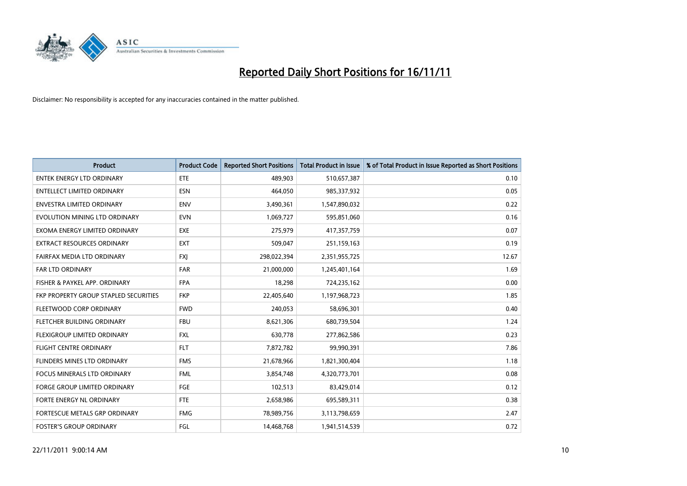

| <b>Product</b>                               | <b>Product Code</b> | <b>Reported Short Positions</b> | <b>Total Product in Issue</b> | % of Total Product in Issue Reported as Short Positions |
|----------------------------------------------|---------------------|---------------------------------|-------------------------------|---------------------------------------------------------|
| <b>ENTEK ENERGY LTD ORDINARY</b>             | <b>ETE</b>          | 489,903                         | 510,657,387                   | 0.10                                                    |
| ENTELLECT LIMITED ORDINARY                   | <b>ESN</b>          | 464,050                         | 985,337,932                   | 0.05                                                    |
| <b>ENVESTRA LIMITED ORDINARY</b>             | <b>ENV</b>          | 3,490,361                       | 1,547,890,032                 | 0.22                                                    |
| EVOLUTION MINING LTD ORDINARY                | <b>EVN</b>          | 1,069,727                       | 595,851,060                   | 0.16                                                    |
| EXOMA ENERGY LIMITED ORDINARY                | <b>EXE</b>          | 275,979                         | 417,357,759                   | 0.07                                                    |
| <b>EXTRACT RESOURCES ORDINARY</b>            | <b>EXT</b>          | 509,047                         | 251,159,163                   | 0.19                                                    |
| FAIRFAX MEDIA LTD ORDINARY                   | <b>FXI</b>          | 298,022,394                     | 2,351,955,725                 | 12.67                                                   |
| FAR LTD ORDINARY                             | <b>FAR</b>          | 21,000,000                      | 1,245,401,164                 | 1.69                                                    |
| FISHER & PAYKEL APP. ORDINARY                | <b>FPA</b>          | 18,298                          | 724,235,162                   | 0.00                                                    |
| <b>FKP PROPERTY GROUP STAPLED SECURITIES</b> | <b>FKP</b>          | 22,405,640                      | 1,197,968,723                 | 1.85                                                    |
| FLEETWOOD CORP ORDINARY                      | <b>FWD</b>          | 240,053                         | 58,696,301                    | 0.40                                                    |
| FLETCHER BUILDING ORDINARY                   | <b>FBU</b>          | 8,621,306                       | 680,739,504                   | 1.24                                                    |
| <b>FLEXIGROUP LIMITED ORDINARY</b>           | <b>FXL</b>          | 630,778                         | 277,862,586                   | 0.23                                                    |
| <b>FLIGHT CENTRE ORDINARY</b>                | <b>FLT</b>          | 7,872,782                       | 99,990,391                    | 7.86                                                    |
| FLINDERS MINES LTD ORDINARY                  | <b>FMS</b>          | 21,678,966                      | 1,821,300,404                 | 1.18                                                    |
| FOCUS MINERALS LTD ORDINARY                  | <b>FML</b>          | 3,854,748                       | 4,320,773,701                 | 0.08                                                    |
| <b>FORGE GROUP LIMITED ORDINARY</b>          | FGE                 | 102,513                         | 83,429,014                    | 0.12                                                    |
| FORTE ENERGY NL ORDINARY                     | <b>FTE</b>          | 2,658,986                       | 695,589,311                   | 0.38                                                    |
| <b>FORTESCUE METALS GRP ORDINARY</b>         | <b>FMG</b>          | 78,989,756                      | 3,113,798,659                 | 2.47                                                    |
| <b>FOSTER'S GROUP ORDINARY</b>               | FGL                 | 14,468,768                      | 1,941,514,539                 | 0.72                                                    |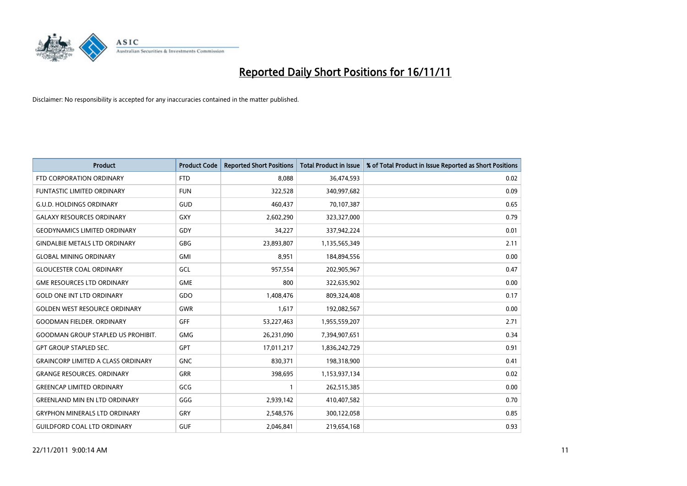

| <b>Product</b>                            | <b>Product Code</b> | <b>Reported Short Positions</b> | <b>Total Product in Issue</b> | % of Total Product in Issue Reported as Short Positions |
|-------------------------------------------|---------------------|---------------------------------|-------------------------------|---------------------------------------------------------|
| FTD CORPORATION ORDINARY                  | <b>FTD</b>          | 8.088                           | 36,474,593                    | 0.02                                                    |
| FUNTASTIC LIMITED ORDINARY                | <b>FUN</b>          | 322,528                         | 340,997,682                   | 0.09                                                    |
| <b>G.U.D. HOLDINGS ORDINARY</b>           | GUD                 | 460,437                         | 70,107,387                    | 0.65                                                    |
| <b>GALAXY RESOURCES ORDINARY</b>          | <b>GXY</b>          | 2,602,290                       | 323,327,000                   | 0.79                                                    |
| <b>GEODYNAMICS LIMITED ORDINARY</b>       | GDY                 | 34,227                          | 337,942,224                   | 0.01                                                    |
| <b>GINDALBIE METALS LTD ORDINARY</b>      | GBG                 | 23,893,807                      | 1,135,565,349                 | 2.11                                                    |
| <b>GLOBAL MINING ORDINARY</b>             | <b>GMI</b>          | 8,951                           | 184,894,556                   | 0.00                                                    |
| <b>GLOUCESTER COAL ORDINARY</b>           | GCL                 | 957,554                         | 202,905,967                   | 0.47                                                    |
| <b>GME RESOURCES LTD ORDINARY</b>         | <b>GME</b>          | 800                             | 322,635,902                   | 0.00                                                    |
| <b>GOLD ONE INT LTD ORDINARY</b>          | <b>GDO</b>          | 1,408,476                       | 809,324,408                   | 0.17                                                    |
| <b>GOLDEN WEST RESOURCE ORDINARY</b>      | <b>GWR</b>          | 1,617                           | 192,082,567                   | 0.00                                                    |
| <b>GOODMAN FIELDER, ORDINARY</b>          | <b>GFF</b>          | 53,227,463                      | 1,955,559,207                 | 2.71                                                    |
| <b>GOODMAN GROUP STAPLED US PROHIBIT.</b> | <b>GMG</b>          | 26,231,090                      | 7,394,907,651                 | 0.34                                                    |
| <b>GPT GROUP STAPLED SEC.</b>             | <b>GPT</b>          | 17,011,217                      | 1,836,242,729                 | 0.91                                                    |
| <b>GRAINCORP LIMITED A CLASS ORDINARY</b> | <b>GNC</b>          | 830,371                         | 198,318,900                   | 0.41                                                    |
| <b>GRANGE RESOURCES. ORDINARY</b>         | GRR                 | 398,695                         | 1,153,937,134                 | 0.02                                                    |
| <b>GREENCAP LIMITED ORDINARY</b>          | GCG                 |                                 | 262,515,385                   | 0.00                                                    |
| <b>GREENLAND MIN EN LTD ORDINARY</b>      | GGG                 | 2,939,142                       | 410,407,582                   | 0.70                                                    |
| <b>GRYPHON MINERALS LTD ORDINARY</b>      | <b>GRY</b>          | 2,548,576                       | 300,122,058                   | 0.85                                                    |
| <b>GUILDFORD COAL LTD ORDINARY</b>        | <b>GUF</b>          | 2,046,841                       | 219,654,168                   | 0.93                                                    |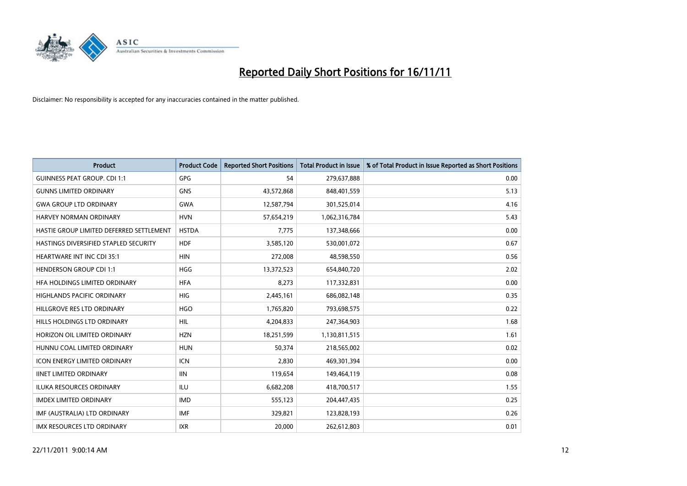

| <b>Product</b>                           | <b>Product Code</b> | <b>Reported Short Positions</b> | <b>Total Product in Issue</b> | % of Total Product in Issue Reported as Short Positions |
|------------------------------------------|---------------------|---------------------------------|-------------------------------|---------------------------------------------------------|
| <b>GUINNESS PEAT GROUP. CDI 1:1</b>      | <b>GPG</b>          | 54                              | 279,637,888                   | 0.00                                                    |
| <b>GUNNS LIMITED ORDINARY</b>            | <b>GNS</b>          | 43,572,868                      | 848,401,559                   | 5.13                                                    |
| <b>GWA GROUP LTD ORDINARY</b>            | <b>GWA</b>          | 12,587,794                      | 301,525,014                   | 4.16                                                    |
| <b>HARVEY NORMAN ORDINARY</b>            | <b>HVN</b>          | 57,654,219                      | 1,062,316,784                 | 5.43                                                    |
| HASTIE GROUP LIMITED DEFERRED SETTLEMENT | <b>HSTDA</b>        | 7,775                           | 137,348,666                   | 0.00                                                    |
| HASTINGS DIVERSIFIED STAPLED SECURITY    | <b>HDF</b>          | 3,585,120                       | 530,001,072                   | 0.67                                                    |
| <b>HEARTWARE INT INC CDI 35:1</b>        | <b>HIN</b>          | 272,008                         | 48,598,550                    | 0.56                                                    |
| <b>HENDERSON GROUP CDI 1:1</b>           | <b>HGG</b>          | 13,372,523                      | 654,840,720                   | 2.02                                                    |
| HFA HOLDINGS LIMITED ORDINARY            | <b>HFA</b>          | 8,273                           | 117,332,831                   | 0.00                                                    |
| <b>HIGHLANDS PACIFIC ORDINARY</b>        | <b>HIG</b>          | 2,445,161                       | 686,082,148                   | 0.35                                                    |
| HILLGROVE RES LTD ORDINARY               | <b>HGO</b>          | 1,765,820                       | 793,698,575                   | 0.22                                                    |
| HILLS HOLDINGS LTD ORDINARY              | <b>HIL</b>          | 4,204,833                       | 247,364,903                   | 1.68                                                    |
| HORIZON OIL LIMITED ORDINARY             | <b>HZN</b>          | 18,251,599                      | 1,130,811,515                 | 1.61                                                    |
| HUNNU COAL LIMITED ORDINARY              | <b>HUN</b>          | 50,374                          | 218,565,002                   | 0.02                                                    |
| <b>ICON ENERGY LIMITED ORDINARY</b>      | <b>ICN</b>          | 2.830                           | 469,301,394                   | 0.00                                                    |
| <b>IINET LIMITED ORDINARY</b>            | <b>IIN</b>          | 119,654                         | 149,464,119                   | 0.08                                                    |
| ILUKA RESOURCES ORDINARY                 | ILU                 | 6,682,208                       | 418,700,517                   | 1.55                                                    |
| <b>IMDEX LIMITED ORDINARY</b>            | <b>IMD</b>          | 555,123                         | 204,447,435                   | 0.25                                                    |
| IMF (AUSTRALIA) LTD ORDINARY             | <b>IMF</b>          | 329,821                         | 123,828,193                   | 0.26                                                    |
| IMX RESOURCES LTD ORDINARY               | <b>IXR</b>          | 20,000                          | 262,612,803                   | 0.01                                                    |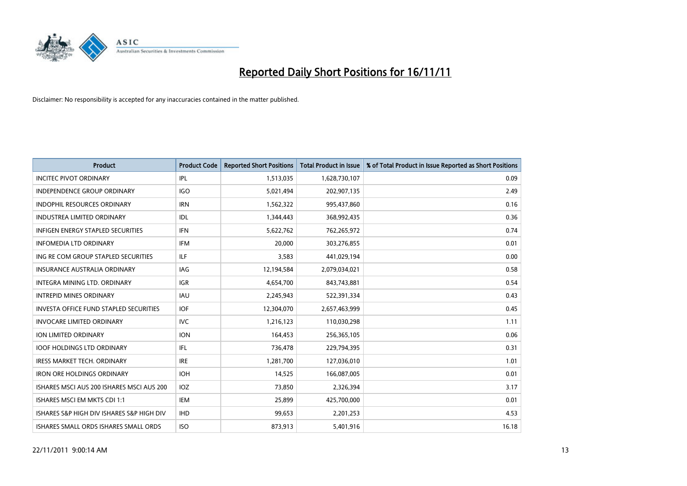

| <b>Product</b>                                | <b>Product Code</b> | <b>Reported Short Positions</b> | <b>Total Product in Issue</b> | % of Total Product in Issue Reported as Short Positions |
|-----------------------------------------------|---------------------|---------------------------------|-------------------------------|---------------------------------------------------------|
| <b>INCITEC PIVOT ORDINARY</b>                 | IPL                 | 1,513,035                       | 1,628,730,107                 | 0.09                                                    |
| <b>INDEPENDENCE GROUP ORDINARY</b>            | <b>IGO</b>          | 5,021,494                       | 202,907,135                   | 2.49                                                    |
| <b>INDOPHIL RESOURCES ORDINARY</b>            | <b>IRN</b>          | 1,562,322                       | 995,437,860                   | 0.16                                                    |
| INDUSTREA LIMITED ORDINARY                    | IDL                 | 1,344,443                       | 368,992,435                   | 0.36                                                    |
| <b>INFIGEN ENERGY STAPLED SECURITIES</b>      | <b>IFN</b>          | 5,622,762                       | 762,265,972                   | 0.74                                                    |
| <b>INFOMEDIA LTD ORDINARY</b>                 | <b>IFM</b>          | 20.000                          | 303,276,855                   | 0.01                                                    |
| ING RE COM GROUP STAPLED SECURITIES           | ILF.                | 3.583                           | 441,029,194                   | 0.00                                                    |
| <b>INSURANCE AUSTRALIA ORDINARY</b>           | IAG                 | 12,194,584                      | 2,079,034,021                 | 0.58                                                    |
| INTEGRA MINING LTD, ORDINARY                  | <b>IGR</b>          | 4,654,700                       | 843,743,881                   | 0.54                                                    |
| <b>INTREPID MINES ORDINARY</b>                | <b>IAU</b>          | 2,245,943                       | 522,391,334                   | 0.43                                                    |
| <b>INVESTA OFFICE FUND STAPLED SECURITIES</b> | <b>IOF</b>          | 12,304,070                      | 2,657,463,999                 | 0.45                                                    |
| <b>INVOCARE LIMITED ORDINARY</b>              | IVC                 | 1,216,123                       | 110,030,298                   | 1.11                                                    |
| <b>ION LIMITED ORDINARY</b>                   | <b>ION</b>          | 164,453                         | 256,365,105                   | 0.06                                                    |
| <b>IOOF HOLDINGS LTD ORDINARY</b>             | <b>IFL</b>          | 736,478                         | 229,794,395                   | 0.31                                                    |
| <b>IRESS MARKET TECH. ORDINARY</b>            | <b>IRE</b>          | 1,281,700                       | 127,036,010                   | 1.01                                                    |
| <b>IRON ORE HOLDINGS ORDINARY</b>             | <b>IOH</b>          | 14,525                          | 166,087,005                   | 0.01                                                    |
| ISHARES MSCI AUS 200 ISHARES MSCI AUS 200     | <b>IOZ</b>          | 73,850                          | 2,326,394                     | 3.17                                                    |
| ISHARES MSCI EM MKTS CDI 1:1                  | IEM                 | 25,899                          | 425,700,000                   | 0.01                                                    |
| ISHARES S&P HIGH DIV ISHARES S&P HIGH DIV     | <b>IHD</b>          | 99,653                          | 2,201,253                     | 4.53                                                    |
| ISHARES SMALL ORDS ISHARES SMALL ORDS         | <b>ISO</b>          | 873,913                         | 5,401,916                     | 16.18                                                   |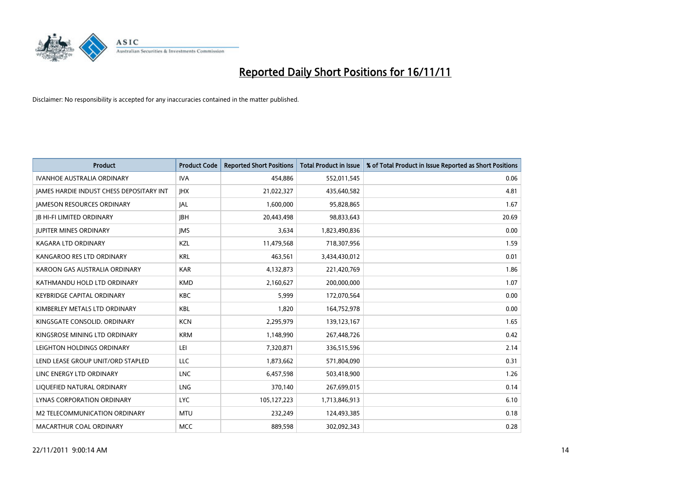

| <b>Product</b>                                  | <b>Product Code</b> | <b>Reported Short Positions</b> | <b>Total Product in Issue</b> | % of Total Product in Issue Reported as Short Positions |
|-------------------------------------------------|---------------------|---------------------------------|-------------------------------|---------------------------------------------------------|
| <b>IVANHOE AUSTRALIA ORDINARY</b>               | <b>IVA</b>          | 454,886                         | 552,011,545                   | 0.06                                                    |
| <b>JAMES HARDIE INDUST CHESS DEPOSITARY INT</b> | <b>IHX</b>          | 21,022,327                      | 435,640,582                   | 4.81                                                    |
| <b>JAMESON RESOURCES ORDINARY</b>               | <b>JAL</b>          | 1,600,000                       | 95,828,865                    | 1.67                                                    |
| <b>IB HI-FI LIMITED ORDINARY</b>                | <b>IBH</b>          | 20,443,498                      | 98,833,643                    | 20.69                                                   |
| <b>JUPITER MINES ORDINARY</b>                   | <b>IMS</b>          | 3,634                           | 1,823,490,836                 | 0.00                                                    |
| <b>KAGARA LTD ORDINARY</b>                      | KZL                 | 11,479,568                      | 718,307,956                   | 1.59                                                    |
| KANGAROO RES LTD ORDINARY                       | <b>KRL</b>          | 463,561                         | 3,434,430,012                 | 0.01                                                    |
| KAROON GAS AUSTRALIA ORDINARY                   | <b>KAR</b>          | 4,132,873                       | 221,420,769                   | 1.86                                                    |
| KATHMANDU HOLD LTD ORDINARY                     | <b>KMD</b>          | 2,160,627                       | 200,000,000                   | 1.07                                                    |
| <b>KEYBRIDGE CAPITAL ORDINARY</b>               | <b>KBC</b>          | 5.999                           | 172,070,564                   | 0.00                                                    |
| KIMBERLEY METALS LTD ORDINARY                   | <b>KBL</b>          | 1,820                           | 164,752,978                   | 0.00                                                    |
| KINGSGATE CONSOLID. ORDINARY                    | <b>KCN</b>          | 2,295,979                       | 139,123,167                   | 1.65                                                    |
| KINGSROSE MINING LTD ORDINARY                   | <b>KRM</b>          | 1,148,990                       | 267,448,726                   | 0.42                                                    |
| LEIGHTON HOLDINGS ORDINARY                      | LEI                 | 7,320,871                       | 336,515,596                   | 2.14                                                    |
| LEND LEASE GROUP UNIT/ORD STAPLED               | <b>LLC</b>          | 1,873,662                       | 571,804,090                   | 0.31                                                    |
| LINC ENERGY LTD ORDINARY                        | <b>LNC</b>          | 6,457,598                       | 503,418,900                   | 1.26                                                    |
| LIQUEFIED NATURAL ORDINARY                      | <b>LNG</b>          | 370,140                         | 267,699,015                   | 0.14                                                    |
| LYNAS CORPORATION ORDINARY                      | <b>LYC</b>          | 105,127,223                     | 1,713,846,913                 | 6.10                                                    |
| M2 TELECOMMUNICATION ORDINARY                   | <b>MTU</b>          | 232,249                         | 124,493,385                   | 0.18                                                    |
| MACARTHUR COAL ORDINARY                         | <b>MCC</b>          | 889,598                         | 302,092,343                   | 0.28                                                    |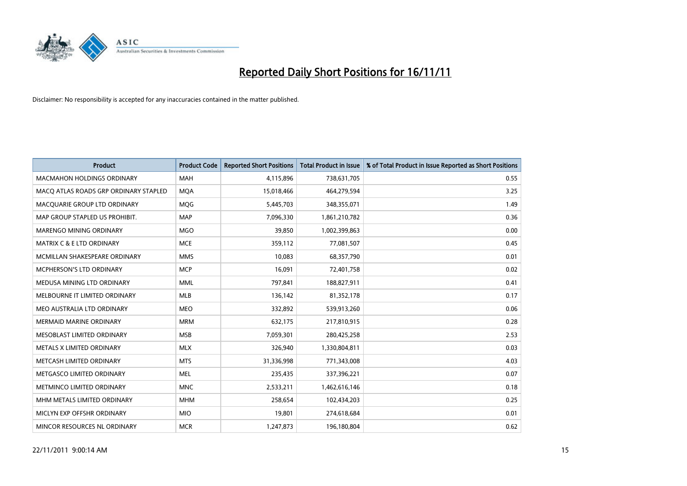

| <b>Product</b>                        | <b>Product Code</b> | <b>Reported Short Positions</b> | <b>Total Product in Issue</b> | % of Total Product in Issue Reported as Short Positions |
|---------------------------------------|---------------------|---------------------------------|-------------------------------|---------------------------------------------------------|
| <b>MACMAHON HOLDINGS ORDINARY</b>     | <b>MAH</b>          | 4,115,896                       | 738,631,705                   | 0.55                                                    |
| MACO ATLAS ROADS GRP ORDINARY STAPLED | <b>MQA</b>          | 15,018,466                      | 464,279,594                   | 3.25                                                    |
| MACOUARIE GROUP LTD ORDINARY          | <b>MOG</b>          | 5,445,703                       | 348,355,071                   | 1.49                                                    |
| MAP GROUP STAPLED US PROHIBIT.        | <b>MAP</b>          | 7,096,330                       | 1,861,210,782                 | 0.36                                                    |
| MARENGO MINING ORDINARY               | <b>MGO</b>          | 39,850                          | 1,002,399,863                 | 0.00                                                    |
| <b>MATRIX C &amp; E LTD ORDINARY</b>  | <b>MCE</b>          | 359,112                         | 77,081,507                    | 0.45                                                    |
| MCMILLAN SHAKESPEARE ORDINARY         | <b>MMS</b>          | 10,083                          | 68,357,790                    | 0.01                                                    |
| MCPHERSON'S LTD ORDINARY              | <b>MCP</b>          | 16,091                          | 72,401,758                    | 0.02                                                    |
| MEDUSA MINING LTD ORDINARY            | <b>MML</b>          | 797,841                         | 188,827,911                   | 0.41                                                    |
| MELBOURNE IT LIMITED ORDINARY         | <b>MLB</b>          | 136,142                         | 81,352,178                    | 0.17                                                    |
| MEO AUSTRALIA LTD ORDINARY            | <b>MEO</b>          | 332,892                         | 539,913,260                   | 0.06                                                    |
| <b>MERMAID MARINE ORDINARY</b>        | <b>MRM</b>          | 632,175                         | 217,810,915                   | 0.28                                                    |
| MESOBLAST LIMITED ORDINARY            | <b>MSB</b>          | 7,059,301                       | 280,425,258                   | 2.53                                                    |
| METALS X LIMITED ORDINARY             | <b>MLX</b>          | 326,940                         | 1,330,804,811                 | 0.03                                                    |
| METCASH LIMITED ORDINARY              | <b>MTS</b>          | 31,336,998                      | 771,343,008                   | 4.03                                                    |
| METGASCO LIMITED ORDINARY             | <b>MEL</b>          | 235,435                         | 337,396,221                   | 0.07                                                    |
| METMINCO LIMITED ORDINARY             | <b>MNC</b>          | 2,533,211                       | 1,462,616,146                 | 0.18                                                    |
| MHM METALS LIMITED ORDINARY           | <b>MHM</b>          | 258,654                         | 102,434,203                   | 0.25                                                    |
| MICLYN EXP OFFSHR ORDINARY            | <b>MIO</b>          | 19,801                          | 274,618,684                   | 0.01                                                    |
| MINCOR RESOURCES NL ORDINARY          | <b>MCR</b>          | 1,247,873                       | 196,180,804                   | 0.62                                                    |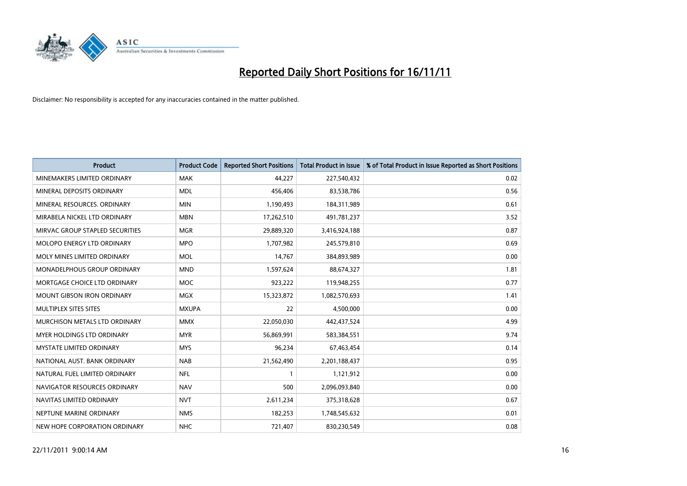

| <b>Product</b>                    | <b>Product Code</b> | <b>Reported Short Positions</b> | <b>Total Product in Issue</b> | % of Total Product in Issue Reported as Short Positions |
|-----------------------------------|---------------------|---------------------------------|-------------------------------|---------------------------------------------------------|
| MINEMAKERS LIMITED ORDINARY       | <b>MAK</b>          | 44,227                          | 227,540,432                   | 0.02                                                    |
| MINERAL DEPOSITS ORDINARY         | <b>MDL</b>          | 456,406                         | 83,538,786                    | 0.56                                                    |
| MINERAL RESOURCES, ORDINARY       | <b>MIN</b>          | 1,190,493                       | 184,311,989                   | 0.61                                                    |
| MIRABELA NICKEL LTD ORDINARY      | <b>MBN</b>          | 17,262,510                      | 491,781,237                   | 3.52                                                    |
| MIRVAC GROUP STAPLED SECURITIES   | <b>MGR</b>          | 29,889,320                      | 3,416,924,188                 | 0.87                                                    |
| <b>MOLOPO ENERGY LTD ORDINARY</b> | <b>MPO</b>          | 1,707,982                       | 245,579,810                   | 0.69                                                    |
| MOLY MINES LIMITED ORDINARY       | <b>MOL</b>          | 14,767                          | 384,893,989                   | 0.00                                                    |
| MONADELPHOUS GROUP ORDINARY       | <b>MND</b>          | 1,597,624                       | 88,674,327                    | 1.81                                                    |
| MORTGAGE CHOICE LTD ORDINARY      | <b>MOC</b>          | 923,222                         | 119,948,255                   | 0.77                                                    |
| <b>MOUNT GIBSON IRON ORDINARY</b> | <b>MGX</b>          | 15,323,872                      | 1,082,570,693                 | 1.41                                                    |
| MULTIPLEX SITES SITES             | <b>MXUPA</b>        | 22                              | 4,500,000                     | 0.00                                                    |
| MURCHISON METALS LTD ORDINARY     | <b>MMX</b>          | 22,050,030                      | 442,437,524                   | 4.99                                                    |
| MYER HOLDINGS LTD ORDINARY        | <b>MYR</b>          | 56,869,991                      | 583,384,551                   | 9.74                                                    |
| <b>MYSTATE LIMITED ORDINARY</b>   | <b>MYS</b>          | 96,234                          | 67,463,454                    | 0.14                                                    |
| NATIONAL AUST, BANK ORDINARY      | <b>NAB</b>          | 21,562,490                      | 2,201,188,437                 | 0.95                                                    |
| NATURAL FUEL LIMITED ORDINARY     | <b>NFL</b>          |                                 | 1,121,912                     | 0.00                                                    |
| NAVIGATOR RESOURCES ORDINARY      | <b>NAV</b>          | 500                             | 2,096,093,840                 | 0.00                                                    |
| NAVITAS LIMITED ORDINARY          | <b>NVT</b>          | 2,611,234                       | 375,318,628                   | 0.67                                                    |
| NEPTUNE MARINE ORDINARY           | <b>NMS</b>          | 182,253                         | 1,748,545,632                 | 0.01                                                    |
| NEW HOPE CORPORATION ORDINARY     | <b>NHC</b>          | 721,407                         | 830,230,549                   | 0.08                                                    |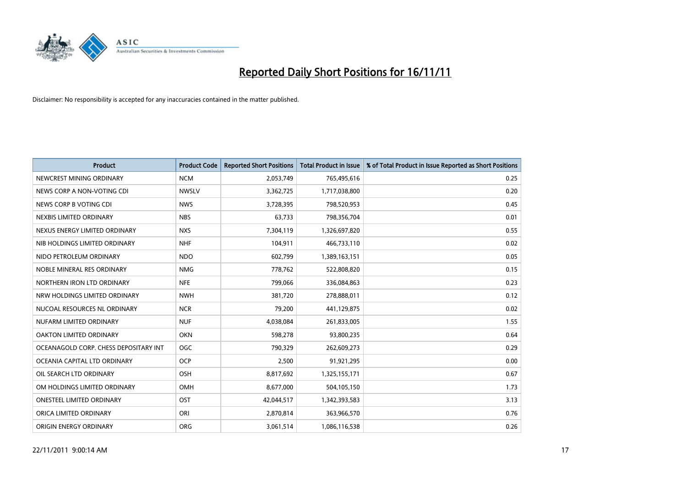

| <b>Product</b>                        | <b>Product Code</b> | <b>Reported Short Positions</b> | <b>Total Product in Issue</b> | % of Total Product in Issue Reported as Short Positions |
|---------------------------------------|---------------------|---------------------------------|-------------------------------|---------------------------------------------------------|
| NEWCREST MINING ORDINARY              | <b>NCM</b>          | 2,053,749                       | 765,495,616                   | 0.25                                                    |
| NEWS CORP A NON-VOTING CDI            | <b>NWSLV</b>        | 3,362,725                       | 1,717,038,800                 | 0.20                                                    |
| NEWS CORP B VOTING CDI                | <b>NWS</b>          | 3,728,395                       | 798,520,953                   | 0.45                                                    |
| NEXBIS LIMITED ORDINARY               | <b>NBS</b>          | 63,733                          | 798,356,704                   | 0.01                                                    |
| NEXUS ENERGY LIMITED ORDINARY         | <b>NXS</b>          | 7,304,119                       | 1,326,697,820                 | 0.55                                                    |
| NIB HOLDINGS LIMITED ORDINARY         | <b>NHF</b>          | 104,911                         | 466,733,110                   | 0.02                                                    |
| NIDO PETROLEUM ORDINARY               | <b>NDO</b>          | 602,799                         | 1,389,163,151                 | 0.05                                                    |
| NOBLE MINERAL RES ORDINARY            | <b>NMG</b>          | 778,762                         | 522,808,820                   | 0.15                                                    |
| NORTHERN IRON LTD ORDINARY            | <b>NFE</b>          | 799,066                         | 336,084,863                   | 0.23                                                    |
| NRW HOLDINGS LIMITED ORDINARY         | <b>NWH</b>          | 381,720                         | 278,888,011                   | 0.12                                                    |
| NUCOAL RESOURCES NL ORDINARY          | <b>NCR</b>          | 79,200                          | 441,129,875                   | 0.02                                                    |
| NUFARM LIMITED ORDINARY               | <b>NUF</b>          | 4,038,084                       | 261,833,005                   | 1.55                                                    |
| OAKTON LIMITED ORDINARY               | <b>OKN</b>          | 598,278                         | 93,800,235                    | 0.64                                                    |
| OCEANAGOLD CORP. CHESS DEPOSITARY INT | <b>OGC</b>          | 790,329                         | 262,609,273                   | 0.29                                                    |
| OCEANIA CAPITAL LTD ORDINARY          | <b>OCP</b>          | 2,500                           | 91,921,295                    | 0.00                                                    |
| OIL SEARCH LTD ORDINARY               | OSH                 | 8,817,692                       | 1,325,155,171                 | 0.67                                                    |
| OM HOLDINGS LIMITED ORDINARY          | OMH                 | 8,677,000                       | 504,105,150                   | 1.73                                                    |
| ONESTEEL LIMITED ORDINARY             | OST                 | 42,044,517                      | 1,342,393,583                 | 3.13                                                    |
| ORICA LIMITED ORDINARY                | ORI                 | 2,870,814                       | 363,966,570                   | 0.76                                                    |
| ORIGIN ENERGY ORDINARY                | <b>ORG</b>          | 3,061,514                       | 1,086,116,538                 | 0.26                                                    |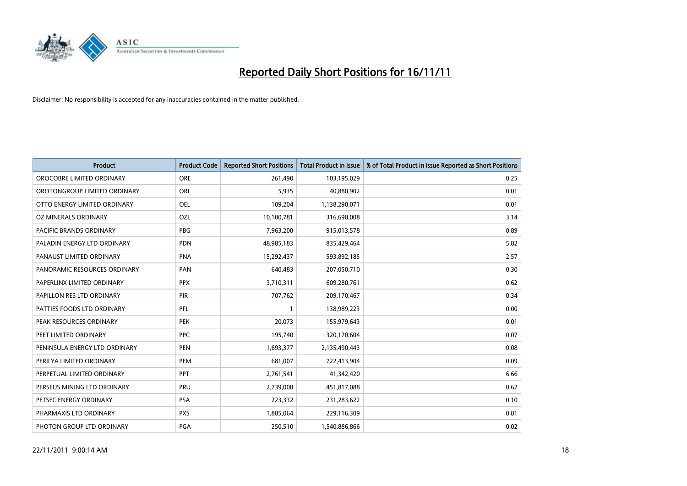

| <b>Product</b>                | <b>Product Code</b> | <b>Reported Short Positions</b> | <b>Total Product in Issue</b> | % of Total Product in Issue Reported as Short Positions |
|-------------------------------|---------------------|---------------------------------|-------------------------------|---------------------------------------------------------|
| OROCOBRE LIMITED ORDINARY     | <b>ORE</b>          | 261,490                         | 103,195,029                   | 0.25                                                    |
| OROTONGROUP LIMITED ORDINARY  | <b>ORL</b>          | 5,935                           | 40,880,902                    | 0.01                                                    |
| OTTO ENERGY LIMITED ORDINARY  | <b>OEL</b>          | 109,204                         | 1,138,290,071                 | 0.01                                                    |
| OZ MINERALS ORDINARY          | OZL                 | 10,100,781                      | 316,690,008                   | 3.14                                                    |
| PACIFIC BRANDS ORDINARY       | PBG                 | 7,963,200                       | 915,013,578                   | 0.89                                                    |
| PALADIN ENERGY LTD ORDINARY   | <b>PDN</b>          | 48,985,183                      | 835,429,464                   | 5.82                                                    |
| PANAUST LIMITED ORDINARY      | <b>PNA</b>          | 15,292,437                      | 593,892,185                   | 2.57                                                    |
| PANORAMIC RESOURCES ORDINARY  | PAN                 | 640,483                         | 207,050,710                   | 0.30                                                    |
| PAPERLINX LIMITED ORDINARY    | <b>PPX</b>          | 3,710,311                       | 609,280,761                   | 0.62                                                    |
| PAPILLON RES LTD ORDINARY     | PIR                 | 707,762                         | 209,170,467                   | 0.34                                                    |
| PATTIES FOODS LTD ORDINARY    | PFL                 |                                 | 138,989,223                   | 0.00                                                    |
| PEAK RESOURCES ORDINARY       | <b>PEK</b>          | 20,073                          | 155,979,643                   | 0.01                                                    |
| PEET LIMITED ORDINARY         | PPC                 | 195,740                         | 320,170,604                   | 0.07                                                    |
| PENINSULA ENERGY LTD ORDINARY | <b>PEN</b>          | 1,693,377                       | 2,135,490,443                 | 0.08                                                    |
| PERILYA LIMITED ORDINARY      | PEM                 | 681,007                         | 722,413,904                   | 0.09                                                    |
| PERPETUAL LIMITED ORDINARY    | <b>PPT</b>          | 2,761,541                       | 41,342,420                    | 6.66                                                    |
| PERSEUS MINING LTD ORDINARY   | PRU                 | 2,739,008                       | 451,817,088                   | 0.62                                                    |
| PETSEC ENERGY ORDINARY        | <b>PSA</b>          | 223,332                         | 231,283,622                   | 0.10                                                    |
| PHARMAXIS LTD ORDINARY        | <b>PXS</b>          | 1,885,064                       | 229,116,309                   | 0.81                                                    |
| PHOTON GROUP LTD ORDINARY     | <b>PGA</b>          | 250,510                         | 1,540,886,866                 | 0.02                                                    |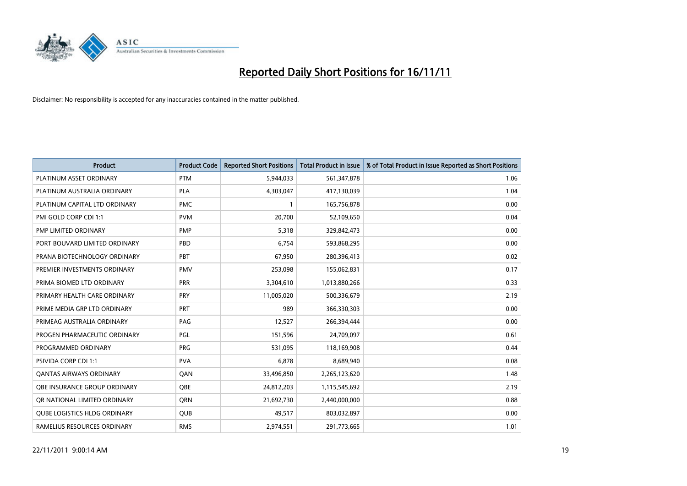

| <b>Product</b>                      | <b>Product Code</b> | <b>Reported Short Positions</b> | <b>Total Product in Issue</b> | % of Total Product in Issue Reported as Short Positions |
|-------------------------------------|---------------------|---------------------------------|-------------------------------|---------------------------------------------------------|
| PLATINUM ASSET ORDINARY             | <b>PTM</b>          | 5,944,033                       | 561,347,878                   | 1.06                                                    |
| PLATINUM AUSTRALIA ORDINARY         | <b>PLA</b>          | 4,303,047                       | 417,130,039                   | 1.04                                                    |
| PLATINUM CAPITAL LTD ORDINARY       | <b>PMC</b>          |                                 | 165,756,878                   | 0.00                                                    |
| PMI GOLD CORP CDI 1:1               | <b>PVM</b>          | 20,700                          | 52,109,650                    | 0.04                                                    |
| PMP LIMITED ORDINARY                | <b>PMP</b>          | 5,318                           | 329,842,473                   | 0.00                                                    |
| PORT BOUVARD LIMITED ORDINARY       | PBD                 | 6,754                           | 593,868,295                   | 0.00                                                    |
| PRANA BIOTECHNOLOGY ORDINARY        | <b>PBT</b>          | 67,950                          | 280,396,413                   | 0.02                                                    |
| PREMIER INVESTMENTS ORDINARY        | <b>PMV</b>          | 253,098                         | 155,062,831                   | 0.17                                                    |
| PRIMA BIOMED LTD ORDINARY           | <b>PRR</b>          | 3,304,610                       | 1,013,880,266                 | 0.33                                                    |
| PRIMARY HEALTH CARE ORDINARY        | <b>PRY</b>          | 11,005,020                      | 500,336,679                   | 2.19                                                    |
| PRIME MEDIA GRP LTD ORDINARY        | <b>PRT</b>          | 989                             | 366,330,303                   | 0.00                                                    |
| PRIMEAG AUSTRALIA ORDINARY          | PAG                 | 12,527                          | 266,394,444                   | 0.00                                                    |
| PROGEN PHARMACEUTIC ORDINARY        | PGL                 | 151,596                         | 24,709,097                    | 0.61                                                    |
| PROGRAMMED ORDINARY                 | PRG                 | 531,095                         | 118,169,908                   | 0.44                                                    |
| <b>PSIVIDA CORP CDI 1:1</b>         | <b>PVA</b>          | 6,878                           | 8,689,940                     | 0.08                                                    |
| <b>QANTAS AIRWAYS ORDINARY</b>      | QAN                 | 33,496,850                      | 2,265,123,620                 | 1.48                                                    |
| <b>OBE INSURANCE GROUP ORDINARY</b> | <b>OBE</b>          | 24,812,203                      | 1,115,545,692                 | 2.19                                                    |
| OR NATIONAL LIMITED ORDINARY        | <b>ORN</b>          | 21,692,730                      | 2,440,000,000                 | 0.88                                                    |
| <b>QUBE LOGISTICS HLDG ORDINARY</b> | <b>QUB</b>          | 49,517                          | 803,032,897                   | 0.00                                                    |
| RAMELIUS RESOURCES ORDINARY         | <b>RMS</b>          | 2,974,551                       | 291,773,665                   | 1.01                                                    |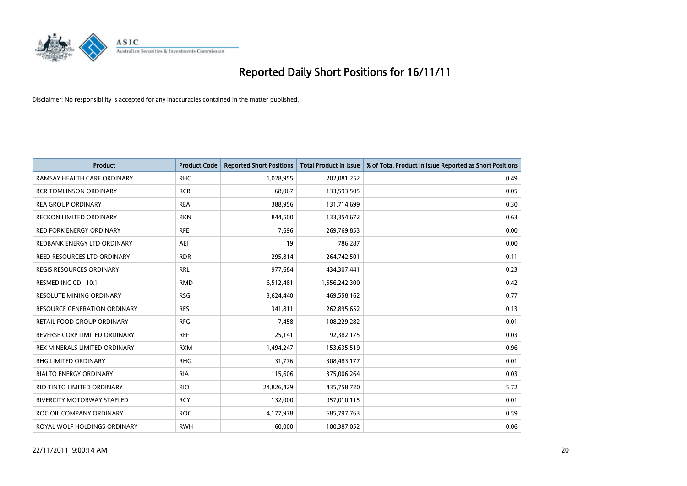

| <b>Product</b>                  | <b>Product Code</b> | <b>Reported Short Positions</b> | <b>Total Product in Issue</b> | % of Total Product in Issue Reported as Short Positions |
|---------------------------------|---------------------|---------------------------------|-------------------------------|---------------------------------------------------------|
| RAMSAY HEALTH CARE ORDINARY     | <b>RHC</b>          | 1,028,955                       | 202,081,252                   | 0.49                                                    |
| <b>RCR TOMLINSON ORDINARY</b>   | <b>RCR</b>          | 68,067                          | 133,593,505                   | 0.05                                                    |
| <b>REA GROUP ORDINARY</b>       | <b>REA</b>          | 388,956                         | 131,714,699                   | 0.30                                                    |
| RECKON LIMITED ORDINARY         | <b>RKN</b>          | 844,500                         | 133,354,672                   | 0.63                                                    |
| <b>RED FORK ENERGY ORDINARY</b> | <b>RFE</b>          | 7,696                           | 269,769,853                   | 0.00                                                    |
| REDBANK ENERGY LTD ORDINARY     | AEI                 | 19                              | 786,287                       | 0.00                                                    |
| REED RESOURCES LTD ORDINARY     | <b>RDR</b>          | 295,814                         | 264,742,501                   | 0.11                                                    |
| REGIS RESOURCES ORDINARY        | <b>RRL</b>          | 977,684                         | 434,307,441                   | 0.23                                                    |
| RESMED INC CDI 10:1             | <b>RMD</b>          | 6,512,481                       | 1,556,242,300                 | 0.42                                                    |
| <b>RESOLUTE MINING ORDINARY</b> | <b>RSG</b>          | 3,624,440                       | 469,558,162                   | 0.77                                                    |
| RESOURCE GENERATION ORDINARY    | <b>RES</b>          | 341,811                         | 262,895,652                   | 0.13                                                    |
| RETAIL FOOD GROUP ORDINARY      | <b>RFG</b>          | 7,458                           | 108,229,282                   | 0.01                                                    |
| REVERSE CORP LIMITED ORDINARY   | <b>REF</b>          | 25,141                          | 92,382,175                    | 0.03                                                    |
| REX MINERALS LIMITED ORDINARY   | <b>RXM</b>          | 1,494,247                       | 153,635,519                   | 0.96                                                    |
| <b>RHG LIMITED ORDINARY</b>     | <b>RHG</b>          | 31,776                          | 308,483,177                   | 0.01                                                    |
| RIALTO ENERGY ORDINARY          | <b>RIA</b>          | 115,606                         | 375,006,264                   | 0.03                                                    |
| RIO TINTO LIMITED ORDINARY      | <b>RIO</b>          | 24,826,429                      | 435,758,720                   | 5.72                                                    |
| RIVERCITY MOTORWAY STAPLED      | <b>RCY</b>          | 132,000                         | 957,010,115                   | 0.01                                                    |
| ROC OIL COMPANY ORDINARY        | <b>ROC</b>          | 4,177,978                       | 685,797,763                   | 0.59                                                    |
| ROYAL WOLF HOLDINGS ORDINARY    | <b>RWH</b>          | 60,000                          | 100,387,052                   | 0.06                                                    |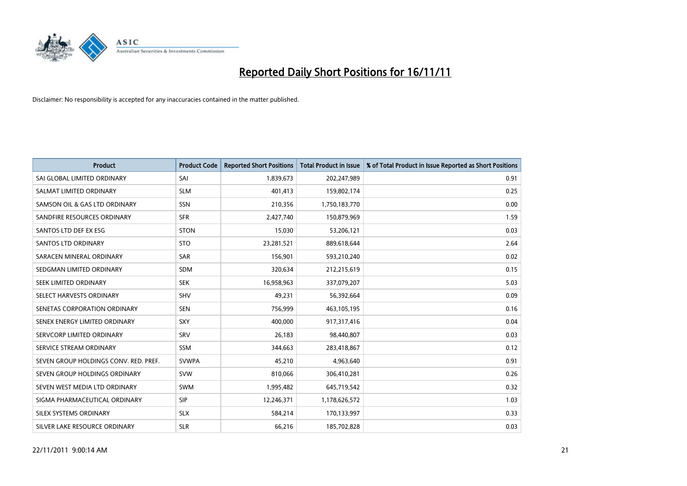

| <b>Product</b>                        | <b>Product Code</b> | <b>Reported Short Positions</b> | <b>Total Product in Issue</b> | % of Total Product in Issue Reported as Short Positions |
|---------------------------------------|---------------------|---------------------------------|-------------------------------|---------------------------------------------------------|
| SAI GLOBAL LIMITED ORDINARY           | SAI                 | 1,839,673                       | 202,247,989                   | 0.91                                                    |
| SALMAT LIMITED ORDINARY               | <b>SLM</b>          | 401,413                         | 159,802,174                   | 0.25                                                    |
| SAMSON OIL & GAS LTD ORDINARY         | SSN                 | 210,356                         | 1,750,183,770                 | 0.00                                                    |
| SANDFIRE RESOURCES ORDINARY           | <b>SFR</b>          | 2,427,740                       | 150,879,969                   | 1.59                                                    |
| SANTOS LTD DEF EX ESG                 | <b>STON</b>         | 15,030                          | 53,206,121                    | 0.03                                                    |
| <b>SANTOS LTD ORDINARY</b>            | <b>STO</b>          | 23,281,521                      | 889,618,644                   | 2.64                                                    |
| SARACEN MINERAL ORDINARY              | <b>SAR</b>          | 156,901                         | 593,210,240                   | 0.02                                                    |
| SEDGMAN LIMITED ORDINARY              | <b>SDM</b>          | 320,634                         | 212,215,619                   | 0.15                                                    |
| SEEK LIMITED ORDINARY                 | <b>SEK</b>          | 16,958,963                      | 337,079,207                   | 5.03                                                    |
| SELECT HARVESTS ORDINARY              | <b>SHV</b>          | 49,231                          | 56,392,664                    | 0.09                                                    |
| SENETAS CORPORATION ORDINARY          | <b>SEN</b>          | 756,999                         | 463,105,195                   | 0.16                                                    |
| SENEX ENERGY LIMITED ORDINARY         | <b>SXY</b>          | 400,000                         | 917,317,416                   | 0.04                                                    |
| SERVCORP LIMITED ORDINARY             | SRV                 | 26,183                          | 98,440,807                    | 0.03                                                    |
| SERVICE STREAM ORDINARY               | <b>SSM</b>          | 344,663                         | 283,418,867                   | 0.12                                                    |
| SEVEN GROUP HOLDINGS CONV. RED. PREF. | <b>SVWPA</b>        | 45,210                          | 4,963,640                     | 0.91                                                    |
| SEVEN GROUP HOLDINGS ORDINARY         | <b>SVW</b>          | 810,066                         | 306,410,281                   | 0.26                                                    |
| SEVEN WEST MEDIA LTD ORDINARY         | <b>SWM</b>          | 1,995,482                       | 645,719,542                   | 0.32                                                    |
| SIGMA PHARMACEUTICAL ORDINARY         | <b>SIP</b>          | 12,246,371                      | 1,178,626,572                 | 1.03                                                    |
| SILEX SYSTEMS ORDINARY                | <b>SLX</b>          | 584,214                         | 170,133,997                   | 0.33                                                    |
| SILVER LAKE RESOURCE ORDINARY         | <b>SLR</b>          | 66,216                          | 185,702,828                   | 0.03                                                    |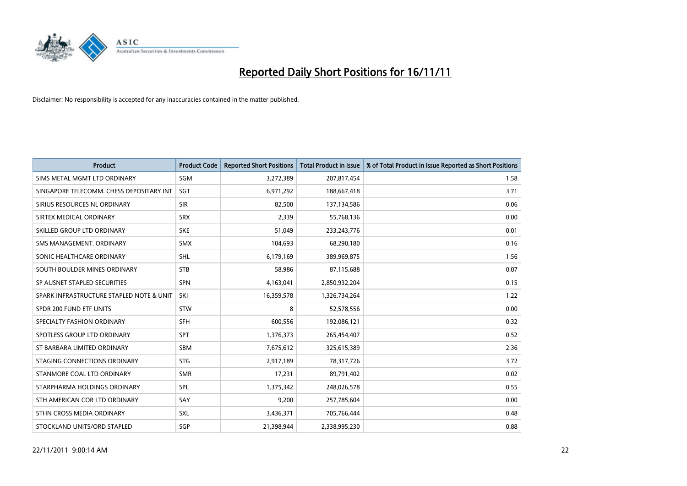

| <b>Product</b>                           | <b>Product Code</b> | <b>Reported Short Positions</b> | <b>Total Product in Issue</b> | % of Total Product in Issue Reported as Short Positions |
|------------------------------------------|---------------------|---------------------------------|-------------------------------|---------------------------------------------------------|
| SIMS METAL MGMT LTD ORDINARY             | SGM                 | 3,272,389                       | 207,817,454                   | 1.58                                                    |
| SINGAPORE TELECOMM. CHESS DEPOSITARY INT | <b>SGT</b>          | 6,971,292                       | 188,667,418                   | 3.71                                                    |
| SIRIUS RESOURCES NL ORDINARY             | <b>SIR</b>          | 82,500                          | 137,134,586                   | 0.06                                                    |
| SIRTEX MEDICAL ORDINARY                  | <b>SRX</b>          | 2,339                           | 55,768,136                    | 0.00                                                    |
| SKILLED GROUP LTD ORDINARY               | <b>SKE</b>          | 51,049                          | 233, 243, 776                 | 0.01                                                    |
| SMS MANAGEMENT, ORDINARY                 | <b>SMX</b>          | 104,693                         | 68,290,180                    | 0.16                                                    |
| SONIC HEALTHCARE ORDINARY                | <b>SHL</b>          | 6,179,169                       | 389,969,875                   | 1.56                                                    |
| SOUTH BOULDER MINES ORDINARY             | <b>STB</b>          | 58,986                          | 87,115,688                    | 0.07                                                    |
| SP AUSNET STAPLED SECURITIES             | <b>SPN</b>          | 4,163,041                       | 2,850,932,204                 | 0.15                                                    |
| SPARK INFRASTRUCTURE STAPLED NOTE & UNIT | SKI                 | 16,359,578                      | 1,326,734,264                 | 1.22                                                    |
| SPDR 200 FUND ETF UNITS                  | <b>STW</b>          | 8                               | 52,578,556                    | 0.00                                                    |
| SPECIALTY FASHION ORDINARY               | <b>SFH</b>          | 600,556                         | 192,086,121                   | 0.32                                                    |
| SPOTLESS GROUP LTD ORDINARY              | <b>SPT</b>          | 1,376,373                       | 265,454,407                   | 0.52                                                    |
| ST BARBARA LIMITED ORDINARY              | <b>SBM</b>          | 7,675,612                       | 325,615,389                   | 2.36                                                    |
| STAGING CONNECTIONS ORDINARY             | <b>STG</b>          | 2,917,189                       | 78,317,726                    | 3.72                                                    |
| STANMORE COAL LTD ORDINARY               | <b>SMR</b>          | 17,231                          | 89,791,402                    | 0.02                                                    |
| STARPHARMA HOLDINGS ORDINARY             | SPL                 | 1,375,342                       | 248,026,578                   | 0.55                                                    |
| STH AMERICAN COR LTD ORDINARY            | SAY                 | 9,200                           | 257,785,604                   | 0.00                                                    |
| STHN CROSS MEDIA ORDINARY                | <b>SXL</b>          | 3,436,371                       | 705,766,444                   | 0.48                                                    |
| STOCKLAND UNITS/ORD STAPLED              | SGP                 | 21.398.944                      | 2,338,995,230                 | 0.88                                                    |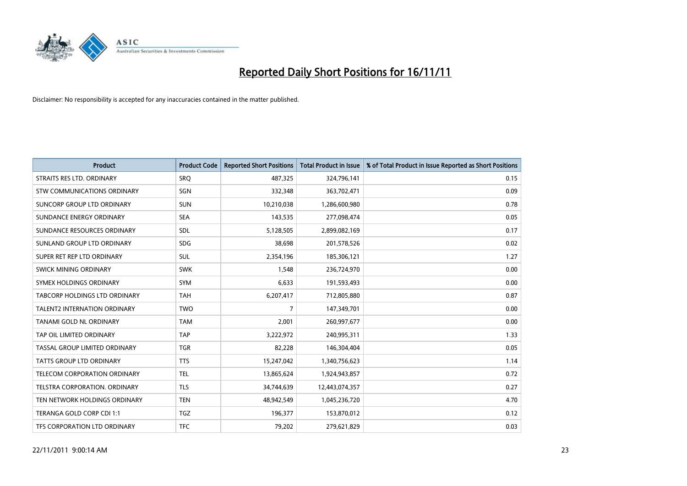

| <b>Product</b>                  | <b>Product Code</b> | <b>Reported Short Positions</b> | <b>Total Product in Issue</b> | % of Total Product in Issue Reported as Short Positions |
|---------------------------------|---------------------|---------------------------------|-------------------------------|---------------------------------------------------------|
| STRAITS RES LTD. ORDINARY       | SRQ                 | 487,325                         | 324,796,141                   | 0.15                                                    |
| STW COMMUNICATIONS ORDINARY     | SGN                 | 332,348                         | 363,702,471                   | 0.09                                                    |
| SUNCORP GROUP LTD ORDINARY      | <b>SUN</b>          | 10,210,038                      | 1,286,600,980                 | 0.78                                                    |
| SUNDANCE ENERGY ORDINARY        | <b>SEA</b>          | 143,535                         | 277,098,474                   | 0.05                                                    |
| SUNDANCE RESOURCES ORDINARY     | <b>SDL</b>          | 5,128,505                       | 2,899,082,169                 | 0.17                                                    |
| SUNLAND GROUP LTD ORDINARY      | <b>SDG</b>          | 38,698                          | 201,578,526                   | 0.02                                                    |
| SUPER RET REP LTD ORDINARY      | <b>SUL</b>          | 2,354,196                       | 185,306,121                   | 1.27                                                    |
| SWICK MINING ORDINARY           | <b>SWK</b>          | 1,548                           | 236,724,970                   | 0.00                                                    |
| SYMEX HOLDINGS ORDINARY         | <b>SYM</b>          | 6,633                           | 191,593,493                   | 0.00                                                    |
| TABCORP HOLDINGS LTD ORDINARY   | <b>TAH</b>          | 6,207,417                       | 712,805,880                   | 0.87                                                    |
| TALENT2 INTERNATION ORDINARY    | <b>TWO</b>          | 7                               | 147,349,701                   | 0.00                                                    |
| TANAMI GOLD NL ORDINARY         | <b>TAM</b>          | 2,001                           | 260,997,677                   | 0.00                                                    |
| TAP OIL LIMITED ORDINARY        | <b>TAP</b>          | 3,222,972                       | 240,995,311                   | 1.33                                                    |
| TASSAL GROUP LIMITED ORDINARY   | <b>TGR</b>          | 82,228                          | 146,304,404                   | 0.05                                                    |
| <b>TATTS GROUP LTD ORDINARY</b> | <b>TTS</b>          | 15,247,042                      | 1,340,756,623                 | 1.14                                                    |
| TELECOM CORPORATION ORDINARY    | <b>TEL</b>          | 13,865,624                      | 1,924,943,857                 | 0.72                                                    |
| TELSTRA CORPORATION. ORDINARY   | <b>TLS</b>          | 34,744,639                      | 12,443,074,357                | 0.27                                                    |
| TEN NETWORK HOLDINGS ORDINARY   | <b>TEN</b>          | 48,942,549                      | 1,045,236,720                 | 4.70                                                    |
| TERANGA GOLD CORP CDI 1:1       | <b>TGZ</b>          | 196,377                         | 153,870,012                   | 0.12                                                    |
| TFS CORPORATION LTD ORDINARY    | <b>TFC</b>          | 79,202                          | 279,621,829                   | 0.03                                                    |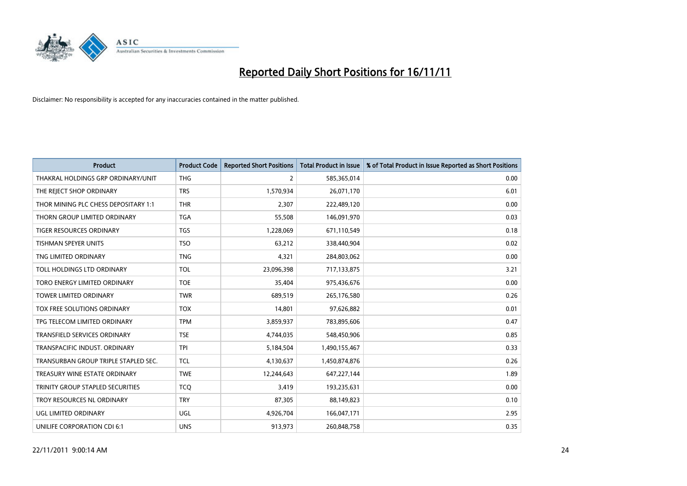

| <b>Product</b>                       | <b>Product Code</b> | <b>Reported Short Positions</b> | <b>Total Product in Issue</b> | % of Total Product in Issue Reported as Short Positions |
|--------------------------------------|---------------------|---------------------------------|-------------------------------|---------------------------------------------------------|
| THAKRAL HOLDINGS GRP ORDINARY/UNIT   | <b>THG</b>          | $\overline{2}$                  | 585,365,014                   | 0.00                                                    |
| THE REJECT SHOP ORDINARY             | <b>TRS</b>          | 1,570,934                       | 26,071,170                    | 6.01                                                    |
| THOR MINING PLC CHESS DEPOSITARY 1:1 | <b>THR</b>          | 2.307                           | 222,489,120                   | 0.00                                                    |
| THORN GROUP LIMITED ORDINARY         | <b>TGA</b>          | 55,508                          | 146,091,970                   | 0.03                                                    |
| <b>TIGER RESOURCES ORDINARY</b>      | <b>TGS</b>          | 1,228,069                       | 671,110,549                   | 0.18                                                    |
| <b>TISHMAN SPEYER UNITS</b>          | <b>TSO</b>          | 63,212                          | 338,440,904                   | 0.02                                                    |
| TNG LIMITED ORDINARY                 | <b>TNG</b>          | 4,321                           | 284,803,062                   | 0.00                                                    |
| TOLL HOLDINGS LTD ORDINARY           | <b>TOL</b>          | 23,096,398                      | 717,133,875                   | 3.21                                                    |
| TORO ENERGY LIMITED ORDINARY         | <b>TOE</b>          | 35,404                          | 975,436,676                   | 0.00                                                    |
| <b>TOWER LIMITED ORDINARY</b>        | <b>TWR</b>          | 689,519                         | 265,176,580                   | 0.26                                                    |
| TOX FREE SOLUTIONS ORDINARY          | <b>TOX</b>          | 14,801                          | 97,626,882                    | 0.01                                                    |
| TPG TELECOM LIMITED ORDINARY         | <b>TPM</b>          | 3,859,937                       | 783,895,606                   | 0.47                                                    |
| TRANSFIELD SERVICES ORDINARY         | <b>TSE</b>          | 4,744,035                       | 548,450,906                   | 0.85                                                    |
| TRANSPACIFIC INDUST. ORDINARY        | <b>TPI</b>          | 5,184,504                       | 1,490,155,467                 | 0.33                                                    |
| TRANSURBAN GROUP TRIPLE STAPLED SEC. | <b>TCL</b>          | 4,130,637                       | 1,450,874,876                 | 0.26                                                    |
| TREASURY WINE ESTATE ORDINARY        | <b>TWE</b>          | 12,244,643                      | 647,227,144                   | 1.89                                                    |
| TRINITY GROUP STAPLED SECURITIES     | <b>TCO</b>          | 3,419                           | 193,235,631                   | 0.00                                                    |
| TROY RESOURCES NL ORDINARY           | <b>TRY</b>          | 87,305                          | 88,149,823                    | 0.10                                                    |
| UGL LIMITED ORDINARY                 | <b>UGL</b>          | 4,926,704                       | 166,047,171                   | 2.95                                                    |
| UNILIFE CORPORATION CDI 6:1          | <b>UNS</b>          | 913,973                         | 260,848,758                   | 0.35                                                    |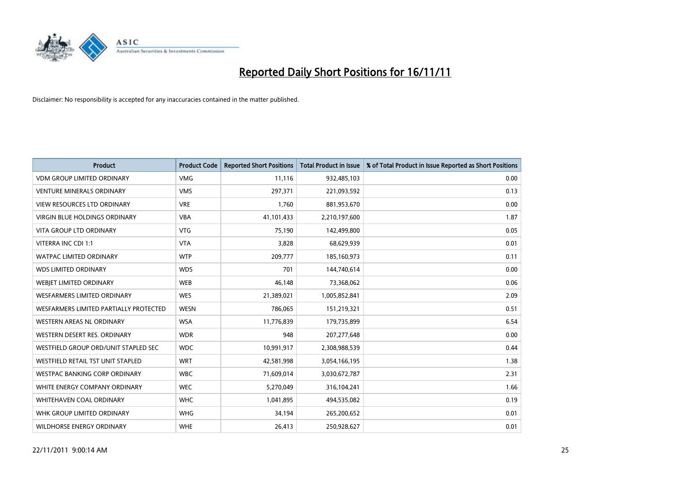

| <b>Product</b>                         | <b>Product Code</b> | <b>Reported Short Positions</b> | Total Product in Issue | % of Total Product in Issue Reported as Short Positions |
|----------------------------------------|---------------------|---------------------------------|------------------------|---------------------------------------------------------|
| <b>VDM GROUP LIMITED ORDINARY</b>      | <b>VMG</b>          | 11.116                          | 932,485,103            | 0.00                                                    |
| <b>VENTURE MINERALS ORDINARY</b>       | <b>VMS</b>          | 297,371                         | 221,093,592            | 0.13                                                    |
| <b>VIEW RESOURCES LTD ORDINARY</b>     | <b>VRE</b>          | 1.760                           | 881,953,670            | 0.00                                                    |
| VIRGIN BLUE HOLDINGS ORDINARY          | <b>VBA</b>          | 41,101,433                      | 2,210,197,600          | 1.87                                                    |
| <b>VITA GROUP LTD ORDINARY</b>         | <b>VTG</b>          | 75,190                          | 142,499,800            | 0.05                                                    |
| VITERRA INC CDI 1:1                    | <b>VTA</b>          | 3,828                           | 68,629,939             | 0.01                                                    |
| <b>WATPAC LIMITED ORDINARY</b>         | <b>WTP</b>          | 209,777                         | 185,160,973            | 0.11                                                    |
| <b>WDS LIMITED ORDINARY</b>            | <b>WDS</b>          | 701                             | 144,740,614            | 0.00                                                    |
| WEBJET LIMITED ORDINARY                | <b>WEB</b>          | 46,148                          | 73,368,062             | 0.06                                                    |
| <b>WESFARMERS LIMITED ORDINARY</b>     | <b>WES</b>          | 21,389,021                      | 1,005,852,841          | 2.09                                                    |
| WESFARMERS LIMITED PARTIALLY PROTECTED | <b>WESN</b>         | 786,065                         | 151,219,321            | 0.51                                                    |
| <b>WESTERN AREAS NL ORDINARY</b>       | <b>WSA</b>          | 11,776,839                      | 179,735,899            | 6.54                                                    |
| WESTERN DESERT RES. ORDINARY           | <b>WDR</b>          | 948                             | 207, 277, 648          | 0.00                                                    |
| WESTFIELD GROUP ORD/UNIT STAPLED SEC   | <b>WDC</b>          | 10,991,917                      | 2,308,988,539          | 0.44                                                    |
| WESTFIELD RETAIL TST UNIT STAPLED      | <b>WRT</b>          | 42,581,998                      | 3,054,166,195          | 1.38                                                    |
| WESTPAC BANKING CORP ORDINARY          | <b>WBC</b>          | 71,609,014                      | 3,030,672,787          | 2.31                                                    |
| WHITE ENERGY COMPANY ORDINARY          | <b>WEC</b>          | 5,270,049                       | 316,104,241            | 1.66                                                    |
| <b>WHITEHAVEN COAL ORDINARY</b>        | <b>WHC</b>          | 1,041,895                       | 494,535,082            | 0.19                                                    |
| WHK GROUP LIMITED ORDINARY             | <b>WHG</b>          | 34,194                          | 265,200,652            | 0.01                                                    |
| WILDHORSE ENERGY ORDINARY              | <b>WHE</b>          | 26,413                          | 250,928,627            | 0.01                                                    |